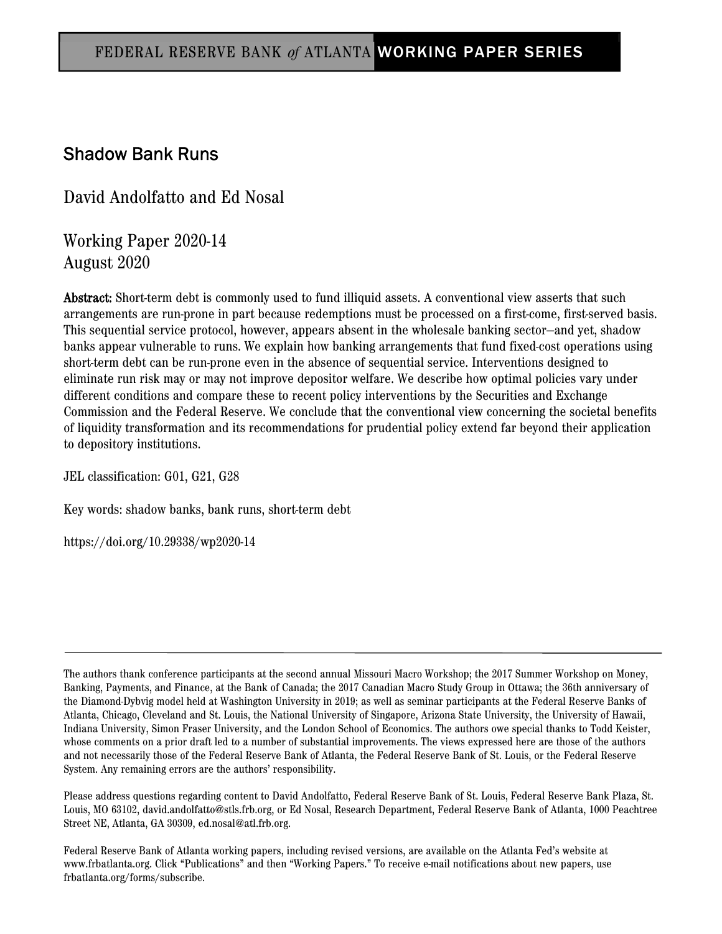## Shadow Bank Runs

David Andolfatto and Ed Nosal

Working Paper 2020-14 August 2020

Abstract: Short-term debt is commonly used to fund illiquid assets. A conventional view asserts that such arrangements are run-prone in part because redemptions must be processed on a first-come, first-served basis. This sequential service protocol, however, appears absent in the wholesale banking sector—and yet, shadow banks appear vulnerable to runs. We explain how banking arrangements that fund fixed-cost operations using short-term debt can be run-prone even in the absence of sequential service. Interventions designed to eliminate run risk may or may not improve depositor welfare. We describe how optimal policies vary under different conditions and compare these to recent policy interventions by the Securities and Exchange Commission and the Federal Reserve. We conclude that the conventional view concerning the societal benefits of liquidity transformation and its recommendations for prudential policy extend far beyond their application to depository institutions.

JEL classification: G01, G21, G28

Key words: shadow banks, bank runs, short-term debt

https://doi.org/10.29338/wp2020-14

The authors thank conference participants at the second annual Missouri Macro Workshop; the 2017 Summer Workshop on Money, Banking, Payments, and Finance, at the Bank of Canada; the 2017 Canadian Macro Study Group in Ottawa; the 36th anniversary of the Diamond-Dybvig model held at Washington University in 2019; as well as seminar participants at the Federal Reserve Banks of Atlanta, Chicago, Cleveland and St. Louis, the National University of Singapore, Arizona State University, the University of Hawaii, Indiana University, Simon Fraser University, and the London School of Economics. The authors owe special thanks to Todd Keister, whose comments on a prior draft led to a number of substantial improvements. The views expressed here are those of the authors and not necessarily those of the Federal Reserve Bank of Atlanta, the Federal Reserve Bank of St. Louis, or the Federal Reserve System. Any remaining errors are the authors' responsibility.

Please address questions regarding content to David Andolfatto, Federal Reserve Bank of St. Louis, Federal Reserve Bank Plaza, St. Louis, MO 63102, david.andolfatto@stls.frb.org, or Ed Nosal, Research Department, Federal Reserve Bank of Atlanta, 1000 Peachtree Street NE, Atlanta, GA 30309, ed.nosal@atl.frb.org.

Federal Reserve Bank of Atlanta working papers, including revised versions, are available on the Atlanta Fed's website at www.frbatlanta.org. Click "Publications" and then "Working Papers." To receive e-mail notifications about new papers, use frbatlanta.org/forms/subscribe.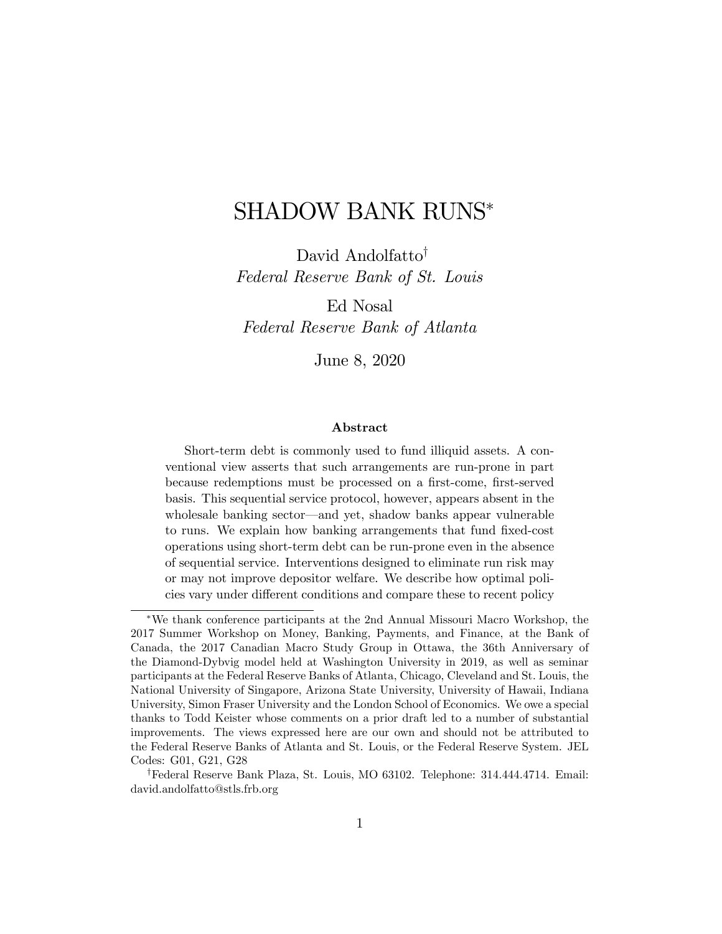# SHADOW BANK RUNS

David Andolfatto<sup>†</sup> Federal Reserve Bank of St. Louis

Ed Nosal Federal Reserve Bank of Atlanta

June 8, 2020

#### Abstract

Short-term debt is commonly used to fund illiquid assets. A conventional view asserts that such arrangements are run-prone in part because redemptions must be processed on a first-come, first-served basis. This sequential service protocol, however, appears absent in the wholesale banking sector—and yet, shadow banks appear vulnerable to runs. We explain how banking arrangements that fund fixed-cost operations using short-term debt can be run-prone even in the absence of sequential service. Interventions designed to eliminate run risk may or may not improve depositor welfare. We describe how optimal policies vary under different conditions and compare these to recent policy

We thank conference participants at the 2nd Annual Missouri Macro Workshop, the 2017 Summer Workshop on Money, Banking, Payments, and Finance, at the Bank of Canada, the 2017 Canadian Macro Study Group in Ottawa, the 36th Anniversary of the Diamond-Dybvig model held at Washington University in 2019, as well as seminar participants at the Federal Reserve Banks of Atlanta, Chicago, Cleveland and St. Louis, the National University of Singapore, Arizona State University, University of Hawaii, Indiana University, Simon Fraser University and the London School of Economics. We owe a special thanks to Todd Keister whose comments on a prior draft led to a number of substantial improvements. The views expressed here are our own and should not be attributed to the Federal Reserve Banks of Atlanta and St. Louis, or the Federal Reserve System. JEL Codes: G01, G21, G28

<sup>&</sup>lt;sup>†</sup>Federal Reserve Bank Plaza, St. Louis, MO 63102. Telephone: 314.444.4714. Email: david.andolfatto@stls.frb.org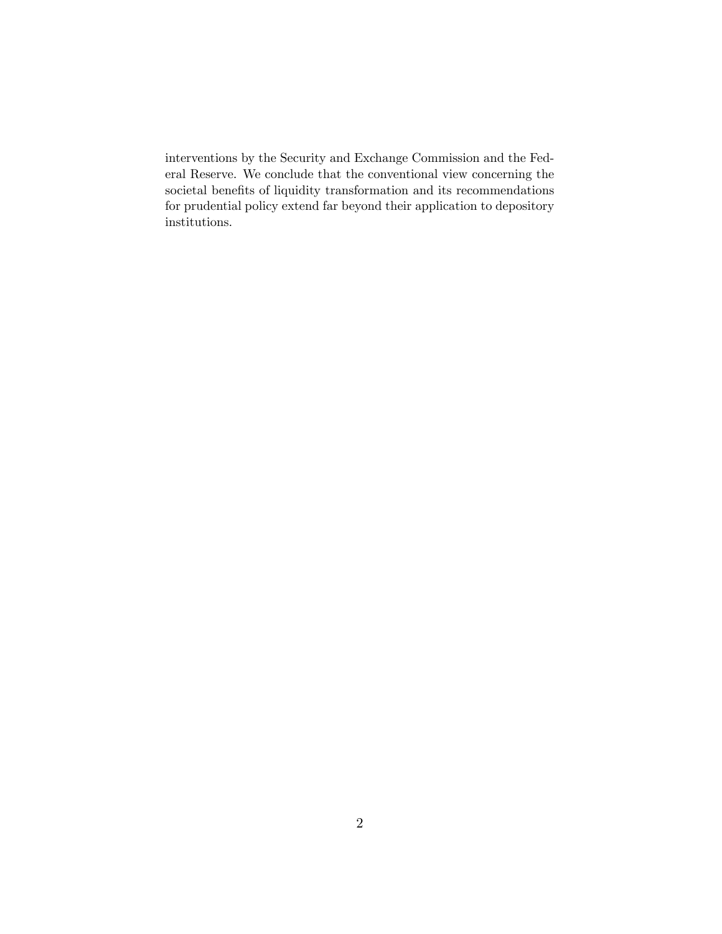interventions by the Security and Exchange Commission and the Federal Reserve. We conclude that the conventional view concerning the societal benefits of liquidity transformation and its recommendations for prudential policy extend far beyond their application to depository institutions.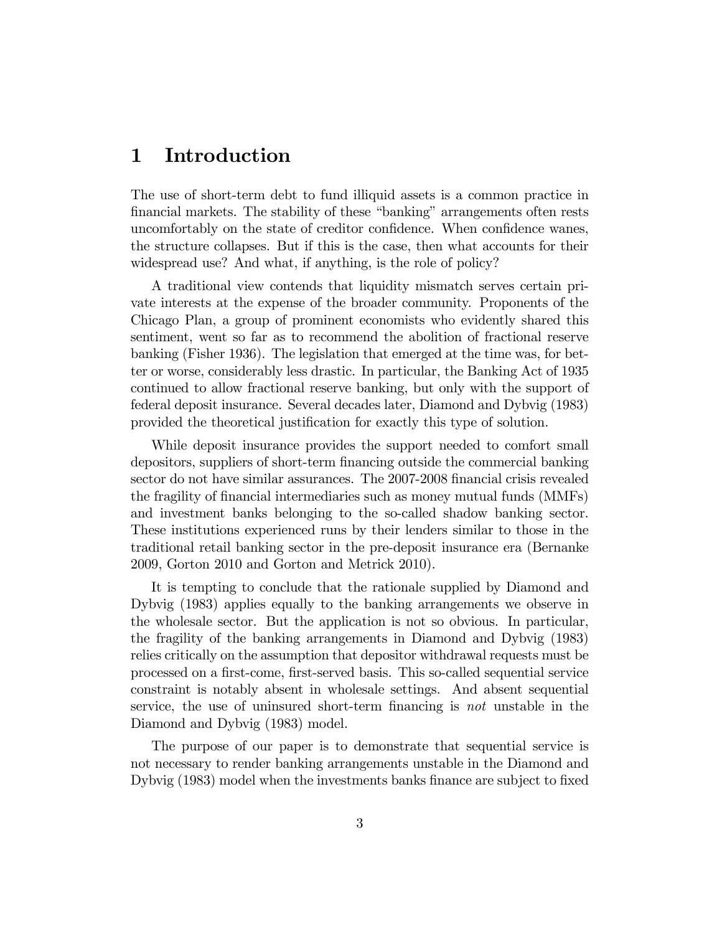### 1 Introduction

The use of short-term debt to fund illiquid assets is a common practice in financial markets. The stability of these "banking" arrangements often rests uncomfortably on the state of creditor confidence. When confidence wanes, the structure collapses. But if this is the case, then what accounts for their widespread use? And what, if anything, is the role of policy?

A traditional view contends that liquidity mismatch serves certain private interests at the expense of the broader community. Proponents of the Chicago Plan, a group of prominent economists who evidently shared this sentiment, went so far as to recommend the abolition of fractional reserve banking (Fisher 1936). The legislation that emerged at the time was, for better or worse, considerably less drastic. In particular, the Banking Act of 1935 continued to allow fractional reserve banking, but only with the support of federal deposit insurance. Several decades later, Diamond and Dybvig (1983) provided the theoretical justification for exactly this type of solution.

While deposit insurance provides the support needed to comfort small depositors, suppliers of short-term financing outside the commercial banking sector do not have similar assurances. The 2007-2008 financial crisis revealed the fragility of Önancial intermediaries such as money mutual funds (MMFs) and investment banks belonging to the so-called shadow banking sector. These institutions experienced runs by their lenders similar to those in the traditional retail banking sector in the pre-deposit insurance era (Bernanke 2009, Gorton 2010 and Gorton and Metrick 2010).

It is tempting to conclude that the rationale supplied by Diamond and Dybvig (1983) applies equally to the banking arrangements we observe in the wholesale sector. But the application is not so obvious. In particular, the fragility of the banking arrangements in Diamond and Dybvig (1983) relies critically on the assumption that depositor withdrawal requests must be processed on a Örst-come, Örst-served basis. This so-called sequential service constraint is notably absent in wholesale settings. And absent sequential service, the use of uninsured short-term financing is not unstable in the Diamond and Dybvig (1983) model.

The purpose of our paper is to demonstrate that sequential service is not necessary to render banking arrangements unstable in the Diamond and Dybvig (1983) model when the investments banks finance are subject to fixed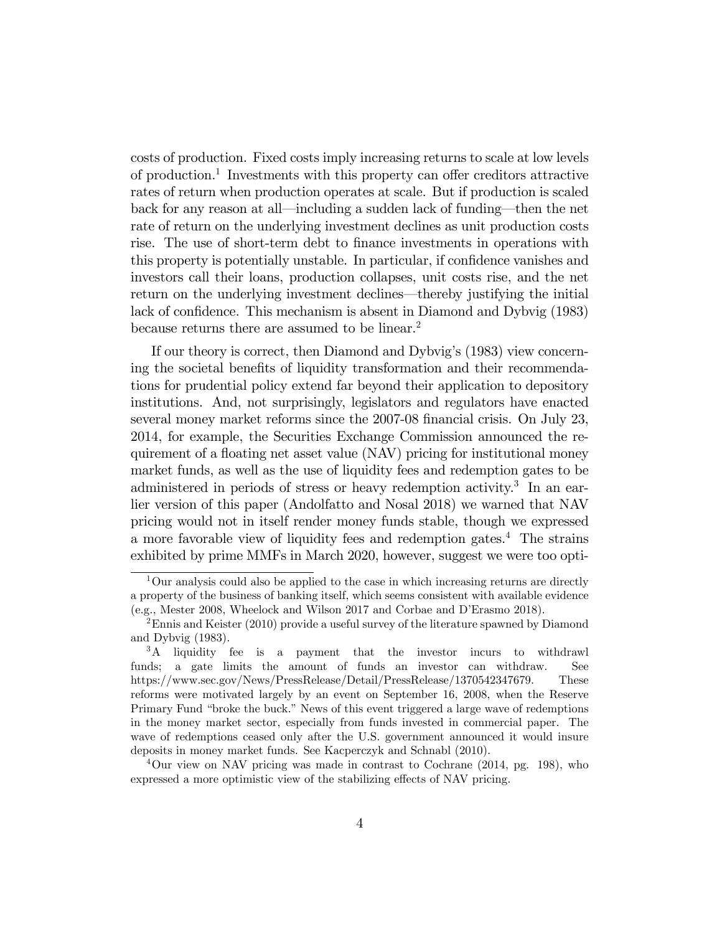costs of production. Fixed costs imply increasing returns to scale at low levels of production.<sup>1</sup> Investments with this property can offer creditors attractive rates of return when production operates at scale. But if production is scaled back for any reason at all—including a sudden lack of funding—then the net rate of return on the underlying investment declines as unit production costs rise. The use of short-term debt to finance investments in operations with this property is potentially unstable. In particular, if confidence vanishes and investors call their loans, production collapses, unit costs rise, and the net return on the underlying investment declines—thereby justifying the initial lack of confidence. This mechanism is absent in Diamond and Dybvig (1983) because returns there are assumed to be linear.<sup>2</sup>

If our theory is correct, then Diamond and Dybvigís (1983) view concerning the societal benefits of liquidity transformation and their recommendations for prudential policy extend far beyond their application to depository institutions. And, not surprisingly, legislators and regulators have enacted several money market reforms since the 2007-08 financial crisis. On July 23, 2014, for example, the Securities Exchange Commission announced the requirement of a floating net asset value (NAV) pricing for institutional money market funds, as well as the use of liquidity fees and redemption gates to be administered in periods of stress or heavy redemption activity.<sup>3</sup> In an earlier version of this paper (Andolfatto and Nosal 2018) we warned that NAV pricing would not in itself render money funds stable, though we expressed a more favorable view of liquidity fees and redemption gates.<sup>4</sup> The strains exhibited by prime MMFs in March 2020, however, suggest we were too opti-

<sup>4</sup>Our view on NAV pricing was made in contrast to Cochrane (2014, pg. 198), who expressed a more optimistic view of the stabilizing effects of NAV pricing.

 $1$ Our analysis could also be applied to the case in which increasing returns are directly a property of the business of banking itself, which seems consistent with available evidence (e.g., Mester 2008, Wheelock and Wilson 2017 and Corbae and DíErasmo 2018).

 $2$ Ennis and Keister (2010) provide a useful survey of the literature spawned by Diamond and Dybvig (1983).

<sup>&</sup>lt;sup>3</sup>A liquidity fee is a payment that the investor incurs to withdrawl funds; a gate limits the amount of funds an investor can withdraw. See https://www.sec.gov/News/PressRelease/Detail/PressRelease/1370542347679. These reforms were motivated largely by an event on September 16, 2008, when the Reserve Primary Fund "broke the buck." News of this event triggered a large wave of redemptions in the money market sector, especially from funds invested in commercial paper. The wave of redemptions ceased only after the U.S. government announced it would insure deposits in money market funds. See Kacperczyk and Schnabl (2010).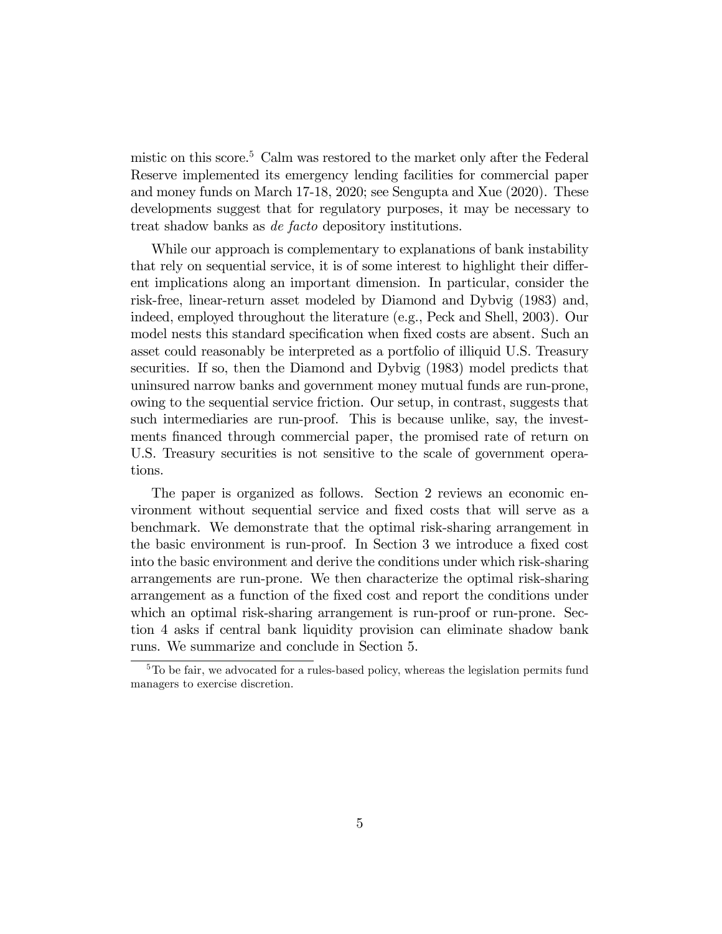mistic on this score.<sup>5</sup> Calm was restored to the market only after the Federal Reserve implemented its emergency lending facilities for commercial paper and money funds on March 17-18, 2020; see Sengupta and Xue (2020). These developments suggest that for regulatory purposes, it may be necessary to treat shadow banks as de facto depository institutions.

While our approach is complementary to explanations of bank instability that rely on sequential service, it is of some interest to highlight their different implications along an important dimension. In particular, consider the risk-free, linear-return asset modeled by Diamond and Dybvig (1983) and, indeed, employed throughout the literature (e.g., Peck and Shell, 2003). Our model nests this standard specification when fixed costs are absent. Such an asset could reasonably be interpreted as a portfolio of illiquid U.S. Treasury securities. If so, then the Diamond and Dybvig (1983) model predicts that uninsured narrow banks and government money mutual funds are run-prone, owing to the sequential service friction. Our setup, in contrast, suggests that such intermediaries are run-proof. This is because unlike, say, the investments financed through commercial paper, the promised rate of return on U.S. Treasury securities is not sensitive to the scale of government operations.

The paper is organized as follows. Section 2 reviews an economic environment without sequential service and Öxed costs that will serve as a benchmark. We demonstrate that the optimal risk-sharing arrangement in the basic environment is run-proof. In Section 3 we introduce a fixed cost into the basic environment and derive the conditions under which risk-sharing arrangements are run-prone. We then characterize the optimal risk-sharing arrangement as a function of the Öxed cost and report the conditions under which an optimal risk-sharing arrangement is run-proof or run-prone. Section 4 asks if central bank liquidity provision can eliminate shadow bank runs. We summarize and conclude in Section 5.

 $5T<sub>5</sub>$  To be fair, we advocated for a rules-based policy, whereas the legislation permits fund managers to exercise discretion.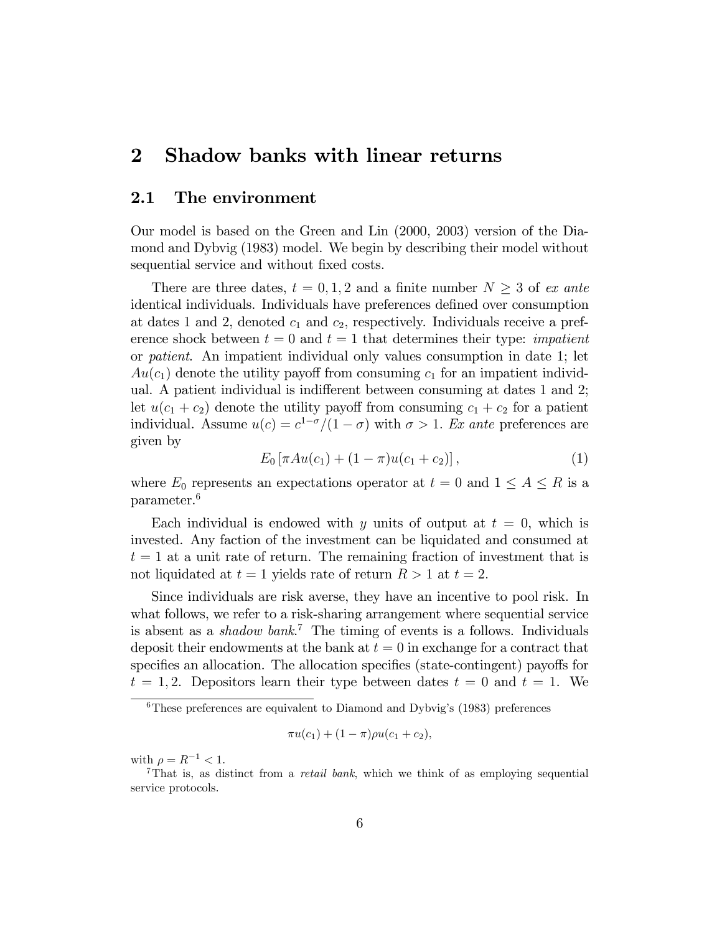### 2 Shadow banks with linear returns

#### 2.1 The environment

Our model is based on the Green and Lin (2000, 2003) version of the Diamond and Dybvig (1983) model. We begin by describing their model without sequential service and without fixed costs.

There are three dates,  $t = 0, 1, 2$  and a finite number  $N \geq 3$  of ex ante identical individuals. Individuals have preferences defined over consumption at dates 1 and 2, denoted  $c_1$  and  $c_2$ , respectively. Individuals receive a preference shock between  $t = 0$  and  $t = 1$  that determines their type: *impatient* or patient. An impatient individual only values consumption in date 1; let  $Au(c_1)$  denote the utility payoff from consuming  $c_1$  for an impatient individual. A patient individual is indifferent between consuming at dates 1 and 2; let  $u(c_1 + c_2)$  denote the utility payoff from consuming  $c_1 + c_2$  for a patient individual. Assume  $u(c) = c^{1-\sigma}/(1-\sigma)$  with  $\sigma > 1$ . Ex ante preferences are given by

$$
E_0\left[\pi Au(c_1) + (1-\pi)u(c_1+c_2)\right],\tag{1}
$$

where  $E_0$  represents an expectations operator at  $t = 0$  and  $1 \leq A \leq R$  is a parameter.<sup>6</sup>

Each individual is endowed with y units of output at  $t = 0$ , which is invested. Any faction of the investment can be liquidated and consumed at  $t = 1$  at a unit rate of return. The remaining fraction of investment that is not liquidated at  $t = 1$  yields rate of return  $R > 1$  at  $t = 2$ .

Since individuals are risk averse, they have an incentive to pool risk. In what follows, we refer to a risk-sharing arrangement where sequential service is absent as a *shadow bank*.<sup>7</sup> The timing of events is a follows. Individuals deposit their endowments at the bank at  $t = 0$  in exchange for a contract that specifies an allocation. The allocation specifies (state-contingent) payoffs for  $t = 1, 2$ . Depositors learn their type between dates  $t = 0$  and  $t = 1$ . We

$$
\pi u(c_1) + (1 - \pi)\rho u(c_1 + c_2),
$$

with  $\rho = R^{-1} < 1$ .

 $6$ These preferences are equivalent to Diamond and Dybvig's (1983) preferences

<sup>&</sup>lt;sup>7</sup>That is, as distinct from a *retail bank*, which we think of as employing sequential service protocols.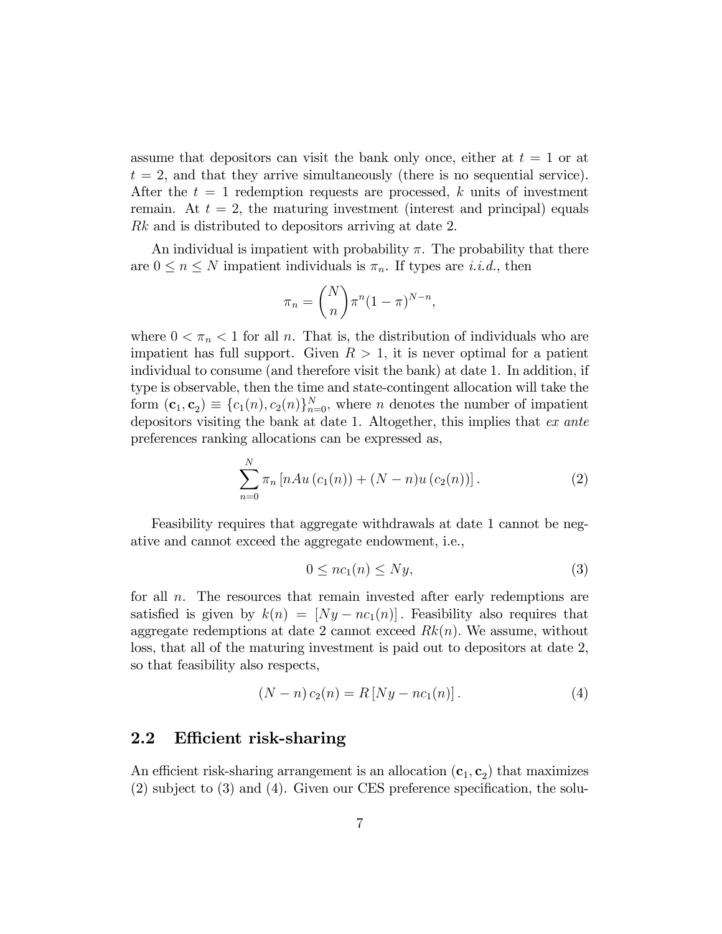assume that depositors can visit the bank only once, either at  $t = 1$  or at  $t = 2$ , and that they arrive simultaneously (there is no sequential service). After the  $t = 1$  redemption requests are processed, k units of investment remain. At  $t = 2$ , the maturing investment (interest and principal) equals Rk and is distributed to depositors arriving at date 2.

An individual is impatient with probability  $\pi$ . The probability that there are  $0 \leq n \leq N$  impatient individuals is  $\pi_n$ . If types are *i.i.d.*, then

$$
\pi_n = \binom{N}{n} \pi^n (1 - \pi)^{N - n},
$$

where  $0 < \pi_n < 1$  for all n. That is, the distribution of individuals who are impatient has full support. Given  $R > 1$ , it is never optimal for a patient individual to consume (and therefore visit the bank) at date 1. In addition, if type is observable, then the time and state-contingent allocation will take the form  $(\mathbf{c}_1, \mathbf{c}_2) \equiv \{c_1(n), c_2(n)\}_{n=0}^N$ , where n denotes the number of impatient depositors visiting the bank at date 1. Altogether, this implies that ex ante preferences ranking allocations can be expressed as,

$$
\sum_{n=0}^{N} \pi_n \left[ nAu \left( c_1(n) \right) + (N - n)u \left( c_2(n) \right) \right]. \tag{2}
$$

Feasibility requires that aggregate withdrawals at date 1 cannot be negative and cannot exceed the aggregate endowment, i.e.,

$$
0 \le nc_1(n) \le Ny,\tag{3}
$$

for all n. The resources that remain invested after early redemptions are satisfied is given by  $k(n) = [Ny - nc_1(n)]$ . Feasibility also requires that aggregate redemptions at date 2 cannot exceed  $Rk(n)$ . We assume, without loss, that all of the maturing investment is paid out to depositors at date 2, so that feasibility also respects,

$$
(N - n) c_2(n) = R [Ny - nc_1(n)].
$$
\n(4)

#### 2.2 Efficient risk-sharing

An efficient risk-sharing arrangement is an allocation  $(c_1, c_2)$  that maximizes  $(2)$  subject to  $(3)$  and  $(4)$ . Given our CES preference specification, the solu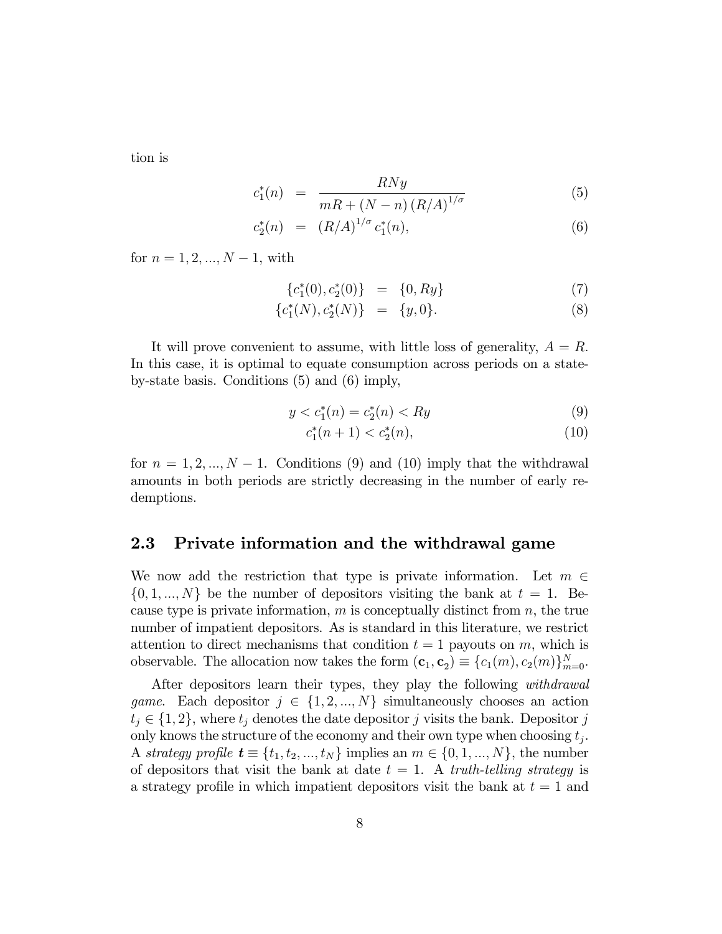tion is

$$
c_1^*(n) = \frac{RNy}{mR + (N-n)(R/A)^{1/\sigma}}
$$
(5)

$$
c_2^*(n) = (R/A)^{1/\sigma} c_1^*(n), \tag{6}
$$

for  $n = 1, 2, ..., N - 1$ , with

$$
\{c_1^*(0), c_2^*(0)\} = \{0, Ry\} \tag{7}
$$

$$
\{c_1^*(N), c_2^*(N)\} = \{y, 0\}.
$$
 (8)

It will prove convenient to assume, with little loss of generality,  $A = R$ . In this case, it is optimal to equate consumption across periods on a stateby-state basis. Conditions (5) and (6) imply,

$$
y < c_1^*(n) = c_2^*(n) < Ry \tag{9}
$$

$$
c_1^*(n+1) < c_2^*(n),\tag{10}
$$

for  $n = 1, 2, ..., N - 1$ . Conditions (9) and (10) imply that the withdrawal amounts in both periods are strictly decreasing in the number of early redemptions.

#### 2.3 Private information and the withdrawal game

We now add the restriction that type is private information. Let  $m \in$  $\{0, 1, ..., N\}$  be the number of depositors visiting the bank at  $t = 1$ . Because type is private information,  $m$  is conceptually distinct from  $n$ , the true number of impatient depositors. As is standard in this literature, we restrict attention to direct mechanisms that condition  $t = 1$  payouts on m, which is observable. The allocation now takes the form  $(c_1, c_2) \equiv \{c_1(m), c_2(m)\}_{m=0}^N$ .

After depositors learn their types, they play the following *withdrawal game.* Each depositor  $j \in \{1, 2, ..., N\}$  simultaneously chooses an action  $t_j \in \{1, 2\}$ , where  $t_j$  denotes the date depositor j visits the bank. Depositor j only knows the structure of the economy and their own type when choosing  $t_j$ . A strategy profile  $\mathbf{t} \equiv \{t_1, t_2, ..., t_N\}$  implies an  $m \in \{0, 1, ..., N\}$ , the number of depositors that visit the bank at date  $t = 1$ . A truth-telling strategy is a strategy profile in which impatient depositors visit the bank at  $t = 1$  and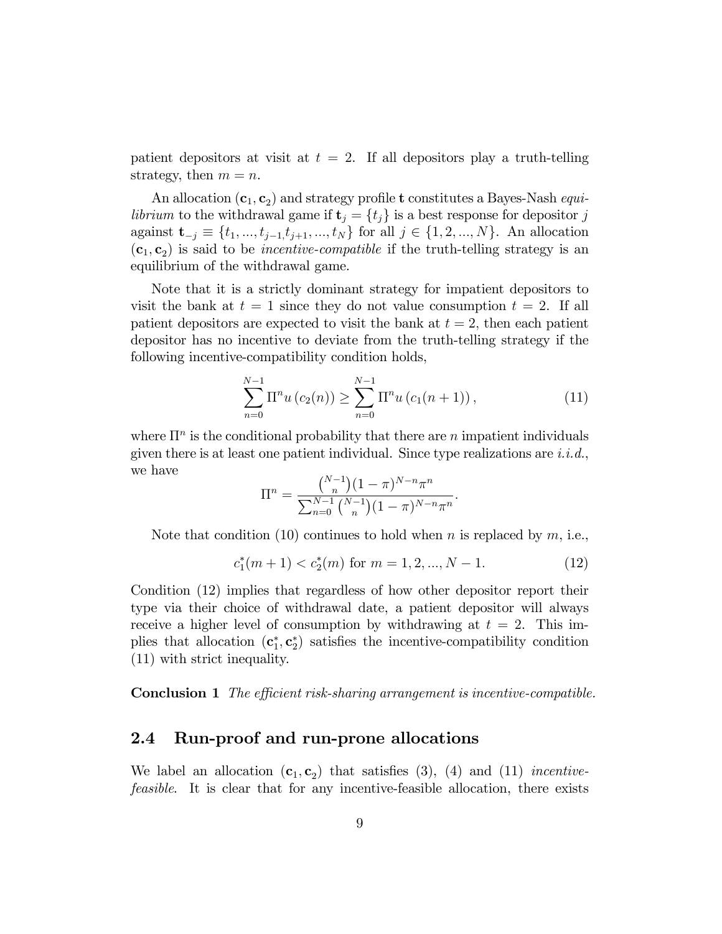patient depositors at visit at  $t = 2$ . If all depositors play a truth-telling strategy, then  $m = n$ .

An allocation  $(c_1, c_2)$  and strategy profile t constitutes a Bayes-Nash *equilibrium* to the withdrawal game if  $\mathbf{t}_j = \{t_j\}$  is a best response for depositor j against  $\mathbf{t}_{-j} \equiv \{t_1, ..., t_{j-1}, t_{j+1}, ..., t_N\}$  for all  $j \in \{1, 2, ..., N\}$ . An allocation  $(c_1, c_2)$  is said to be *incentive-compatible* if the truth-telling strategy is an equilibrium of the withdrawal game.

Note that it is a strictly dominant strategy for impatient depositors to visit the bank at  $t = 1$  since they do not value consumption  $t = 2$ . If all patient depositors are expected to visit the bank at  $t = 2$ , then each patient depositor has no incentive to deviate from the truth-telling strategy if the following incentive-compatibility condition holds,

$$
\sum_{n=0}^{N-1} \Pi^n u(c_2(n)) \ge \sum_{n=0}^{N-1} \Pi^n u(c_1(n+1)), \qquad (11)
$$

where  $\Pi^n$  is the conditional probability that there are n impatient individuals given there is at least one patient individual. Since type realizations are  $i.i.d.,$ we have

$$
\Pi^{n} = \frac{\binom{N-1}{n}(1-\pi)^{N-n}\pi^{n}}{\sum_{n=0}^{N-1}\binom{N-1}{n}(1-\pi)^{N-n}\pi^{n}}.
$$

Note that condition (10) continues to hold when n is replaced by  $m$ , i.e.,

$$
c_1^*(m+1) < c_2^*(m) \text{ for } m = 1, 2, \dots, N-1. \tag{12}
$$

Condition (12) implies that regardless of how other depositor report their type via their choice of withdrawal date, a patient depositor will always receive a higher level of consumption by withdrawing at  $t = 2$ . This implies that allocation  $(c_1^*, c_2^*)$  satisfies the incentive-compatibility condition (11) with strict inequality.

**Conclusion 1** The efficient risk-sharing arrangement is incentive-compatible.

### 2.4 Run-proof and run-prone allocations

We label an allocation  $(c_1, c_2)$  that satisfies (3), (4) and (11) *incentive*feasible. It is clear that for any incentive-feasible allocation, there exists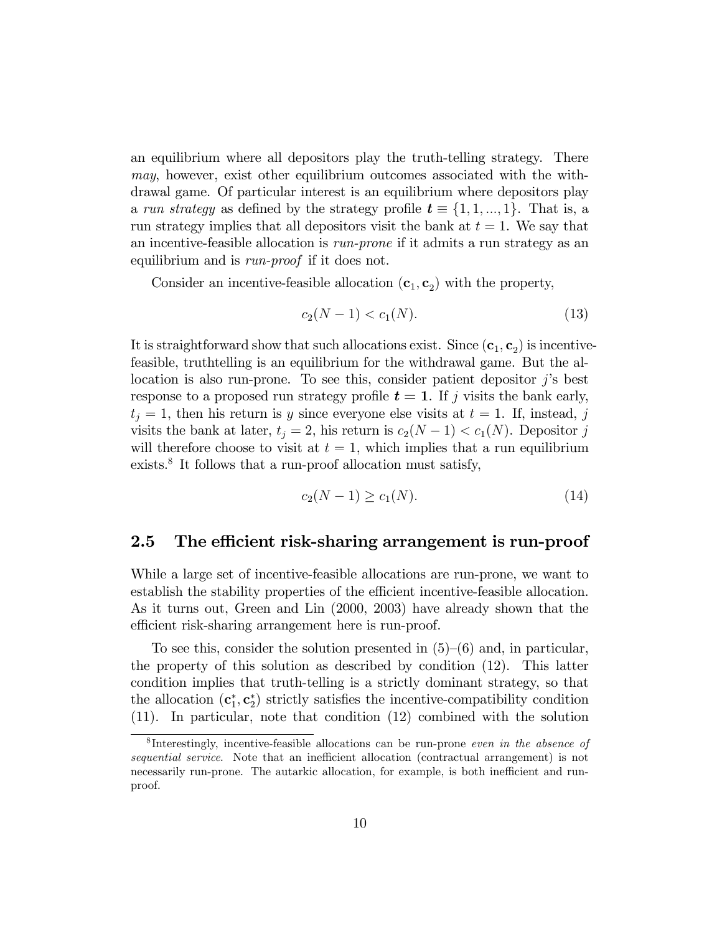an equilibrium where all depositors play the truth-telling strategy. There may, however, exist other equilibrium outcomes associated with the withdrawal game. Of particular interest is an equilibrium where depositors play a run strategy as defined by the strategy profile  $t \equiv \{1, 1, ..., 1\}$ . That is, a run strategy implies that all depositors visit the bank at  $t = 1$ . We say that an incentive-feasible allocation is run-prone if it admits a run strategy as an equilibrium and is *run-proof* if it does not.

Consider an incentive-feasible allocation  $(c_1, c_2)$  with the property,

$$
c_2(N-1) < c_1(N). \tag{13}
$$

It is straightforward show that such allocations exist. Since  $(c_1, c_2)$  is incentivefeasible, truthtelling is an equilibrium for the withdrawal game. But the allocation is also run-prone. To see this, consider patient depositor  $j$ 's best response to a proposed run strategy profile  $t = 1$ . If j visits the bank early,  $t_j = 1$ , then his return is y since everyone else visits at  $t = 1$ . If, instead, j visits the bank at later,  $t_j = 2$ , his return is  $c_2(N-1) < c_1(N)$ . Depositor j will therefore choose to visit at  $t = 1$ , which implies that a run equilibrium exists.<sup>8</sup> It follows that a run-proof allocation must satisfy,

$$
c_2(N-1) \ge c_1(N). \tag{14}
$$

#### 2.5 The efficient risk-sharing arrangement is run-proof

While a large set of incentive-feasible allocations are run-prone, we want to establish the stability properties of the efficient incentive-feasible allocation. As it turns out, Green and Lin (2000, 2003) have already shown that the efficient risk-sharing arrangement here is run-proof.

To see this, consider the solution presented in  $(5)-(6)$  and, in particular, the property of this solution as described by condition (12). This latter condition implies that truth-telling is a strictly dominant strategy, so that the allocation  $(c_1^*, c_2^*)$  strictly satisfies the incentive-compatibility condition (11). In particular, note that condition (12) combined with the solution

<sup>&</sup>lt;sup>8</sup>Interestingly, incentive-feasible allocations can be run-prone even in the absence of sequential service. Note that an inefficient allocation (contractual arrangement) is not necessarily run-prone. The autarkic allocation, for example, is both inefficient and runproof.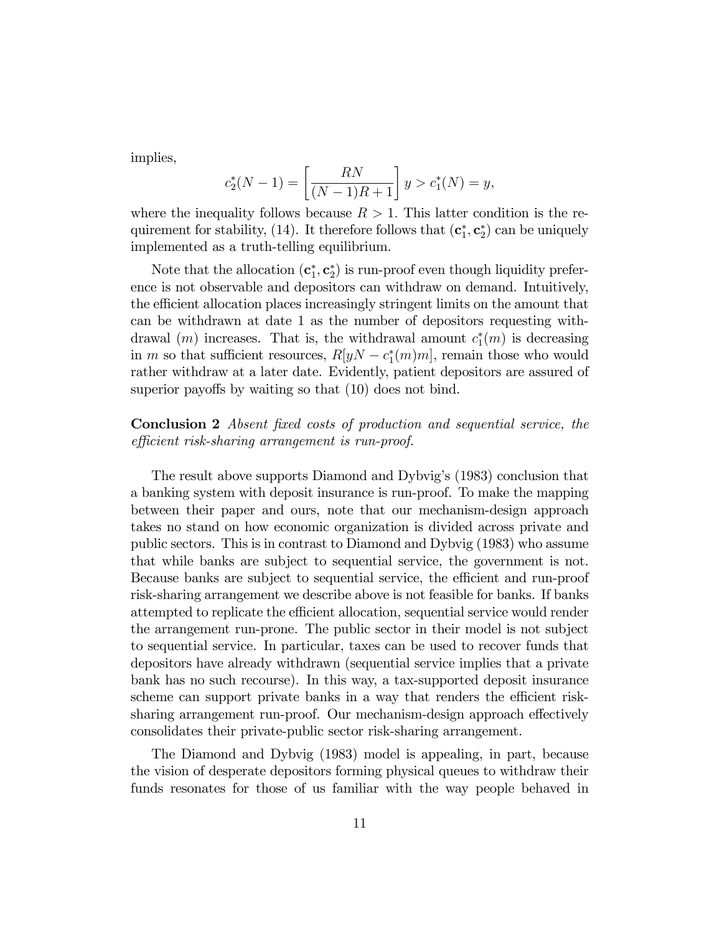implies,

$$
c_2^*(N-1) = \left[\frac{RN}{(N-1)R+1}\right]y > c_1^*(N) = y,
$$

where the inequality follows because  $R > 1$ . This latter condition is the requirement for stability, (14). It therefore follows that  $(c_1^*, c_2^*)$  can be uniquely implemented as a truth-telling equilibrium.

Note that the allocation  $(c_1^*, c_2^*)$  is run-proof even though liquidity preference is not observable and depositors can withdraw on demand. Intuitively, the efficient allocation places increasingly stringent limits on the amount that can be withdrawn at date 1 as the number of depositors requesting withdrawal  $(m)$  increases. That is, the withdrawal amount  $c_1^*(m)$  is decreasing in m so that sufficient resources,  $R[yN - c_1^*(m)m]$ , remain those who would rather withdraw at a later date. Evidently, patient depositors are assured of superior payoffs by waiting so that  $(10)$  does not bind.

#### Conclusion 2 Absent fixed costs of production and sequential service, the efficient risk-sharing arrangement is run-proof.

The result above supports Diamond and Dybvigís (1983) conclusion that a banking system with deposit insurance is run-proof. To make the mapping between their paper and ours, note that our mechanism-design approach takes no stand on how economic organization is divided across private and public sectors. This is in contrast to Diamond and Dybvig (1983) who assume that while banks are subject to sequential service, the government is not. Because banks are subject to sequential service, the efficient and run-proof risk-sharing arrangement we describe above is not feasible for banks. If banks attempted to replicate the efficient allocation, sequential service would render the arrangement run-prone. The public sector in their model is not subject to sequential service. In particular, taxes can be used to recover funds that depositors have already withdrawn (sequential service implies that a private bank has no such recourse). In this way, a tax-supported deposit insurance scheme can support private banks in a way that renders the efficient risksharing arrangement run-proof. Our mechanism-design approach effectively consolidates their private-public sector risk-sharing arrangement.

The Diamond and Dybvig (1983) model is appealing, in part, because the vision of desperate depositors forming physical queues to withdraw their funds resonates for those of us familiar with the way people behaved in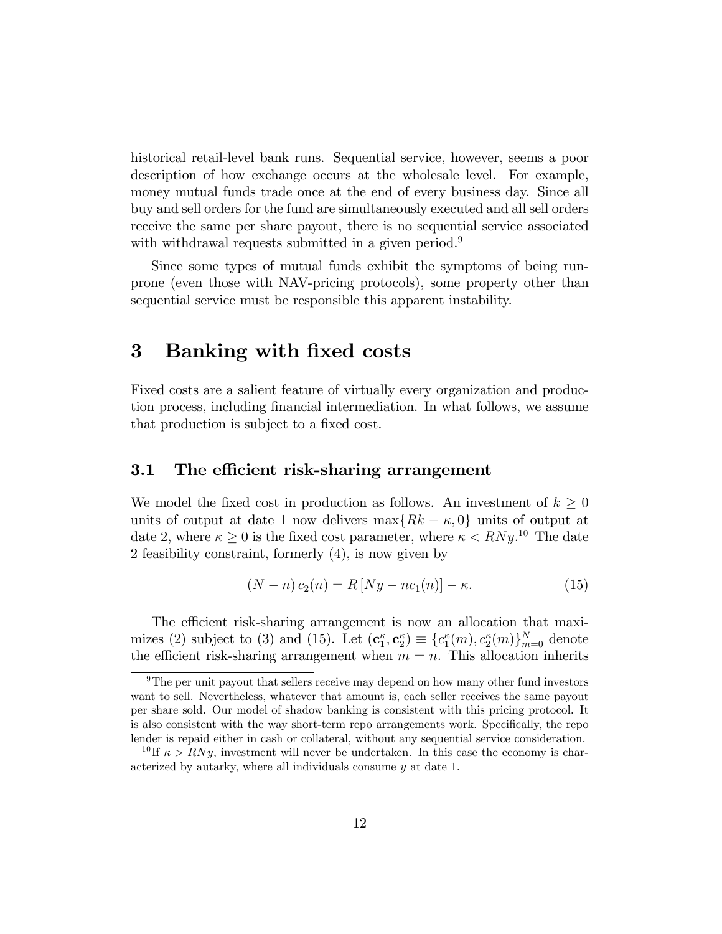historical retail-level bank runs. Sequential service, however, seems a poor description of how exchange occurs at the wholesale level. For example, money mutual funds trade once at the end of every business day. Since all buy and sell orders for the fund are simultaneously executed and all sell orders receive the same per share payout, there is no sequential service associated with withdrawal requests submitted in a given period.<sup>9</sup>

Since some types of mutual funds exhibit the symptoms of being runprone (even those with NAV-pricing protocols), some property other than sequential service must be responsible this apparent instability.

### 3 Banking with fixed costs

Fixed costs are a salient feature of virtually every organization and production process, including Önancial intermediation. In what follows, we assume that production is subject to a fixed cost.

#### 3.1 The efficient risk-sharing arrangement

We model the fixed cost in production as follows. An investment of  $k \geq 0$ units of output at date 1 now delivers  $\max\{Rk - \kappa, 0\}$  units of output at date 2, where  $\kappa \geq 0$  is the fixed cost parameter, where  $\kappa < RNy$ .<sup>10</sup> The date 2 feasibility constraint, formerly (4), is now given by

$$
(N - n)c_2(n) = R[Ny - nc_1(n)] - \kappa.
$$
 (15)

The efficient risk-sharing arrangement is now an allocation that maximizes (2) subject to (3) and (15). Let  $(c_1^{\kappa}, c_2^{\kappa}) \equiv \{c_1^{\kappa}(m), c_2^{\kappa}(m)\}_{m=0}^N$  denote the efficient risk-sharing arrangement when  $m = n$ . This allocation inherits

 $9$ The per unit payout that sellers receive may depend on how many other fund investors want to sell. Nevertheless, whatever that amount is, each seller receives the same payout per share sold. Our model of shadow banking is consistent with this pricing protocol. It is also consistent with the way short-term repo arrangements work. Specifically, the repo lender is repaid either in cash or collateral, without any sequential service consideration.

<sup>&</sup>lt;sup>10</sup>If  $\kappa > RNy$ , investment will never be undertaken. In this case the economy is characterized by autarky, where all individuals consume y at date 1.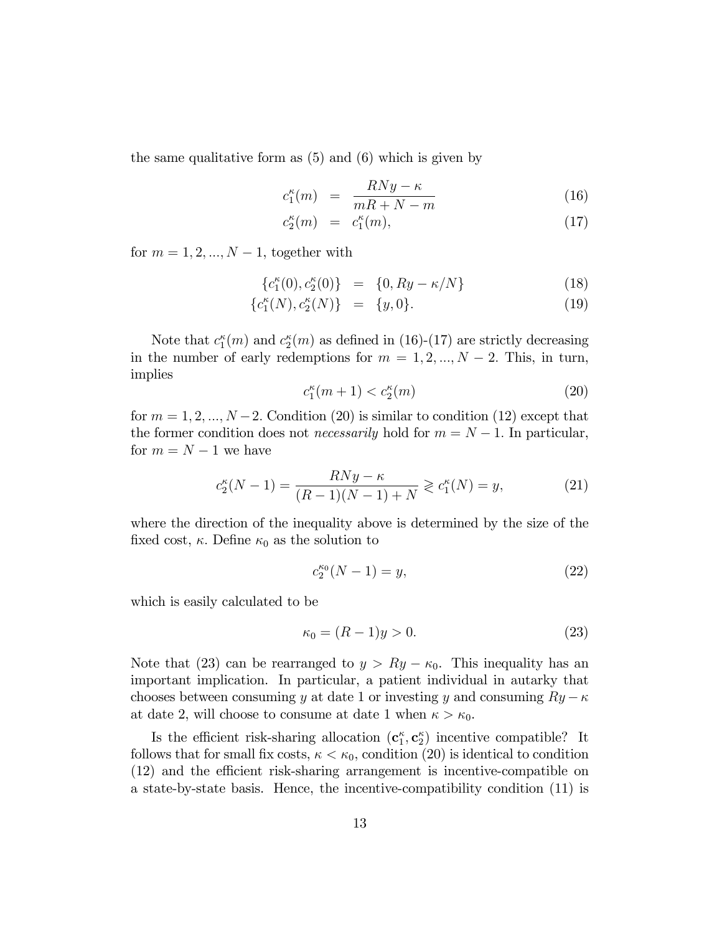the same qualitative form as (5) and (6) which is given by

$$
c_1^{\kappa}(m) = \frac{RNy - \kappa}{mR + N - m}
$$
 (16)

$$
c_2^{\kappa}(m) = c_1^{\kappa}(m), \tag{17}
$$

for  $m = 1, 2, ..., N - 1$ , together with

$$
\{c_1^{\kappa}(0), c_2^{\kappa}(0)\} = \{0, Ry - \kappa/N\}
$$
 (18)

$$
\{c_1^{\kappa}(N), c_2^{\kappa}(N)\} = \{y, 0\}.
$$
 (19)

Note that  $c_1^{\kappa}(m)$  and  $c_2^{\kappa}(m)$  as defined in (16)-(17) are strictly decreasing in the number of early redemptions for  $m = 1, 2, ..., N - 2$ . This, in turn, implies

$$
c_1^{\kappa}(m+1) < c_2^{\kappa}(m) \tag{20}
$$

for  $m = 1, 2, ..., N - 2$ . Condition (20) is similar to condition (12) except that the former condition does not *necessarily* hold for  $m = N - 1$ . In particular, for  $m = N - 1$  we have

$$
c_2^{\kappa}(N-1) = \frac{RNy - \kappa}{(R-1)(N-1) + N} \geq c_1^{\kappa}(N) = y,\tag{21}
$$

where the direction of the inequality above is determined by the size of the fixed cost,  $\kappa$ . Define  $\kappa_0$  as the solution to

$$
c_2^{\kappa_0}(N-1) = y,\t\t(22)
$$

which is easily calculated to be

$$
\kappa_0 = (R-1)y > 0. \tag{23}
$$

Note that (23) can be rearranged to  $y > Ry - \kappa_0$ . This inequality has an important implication. In particular, a patient individual in autarky that chooses between consuming y at date 1 or investing y and consuming  $Ry - \kappa$ at date 2, will choose to consume at date 1 when  $\kappa > \kappa_0$ .

Is the efficient risk-sharing allocation  $(c_1^{\kappa}, c_2^{\kappa})$  incentive compatible? It follows that for small fix costs,  $\kappa < \kappa_0$ , condition (20) is identical to condition  $(12)$  and the efficient risk-sharing arrangement is incentive-compatible on a state-by-state basis. Hence, the incentive-compatibility condition (11) is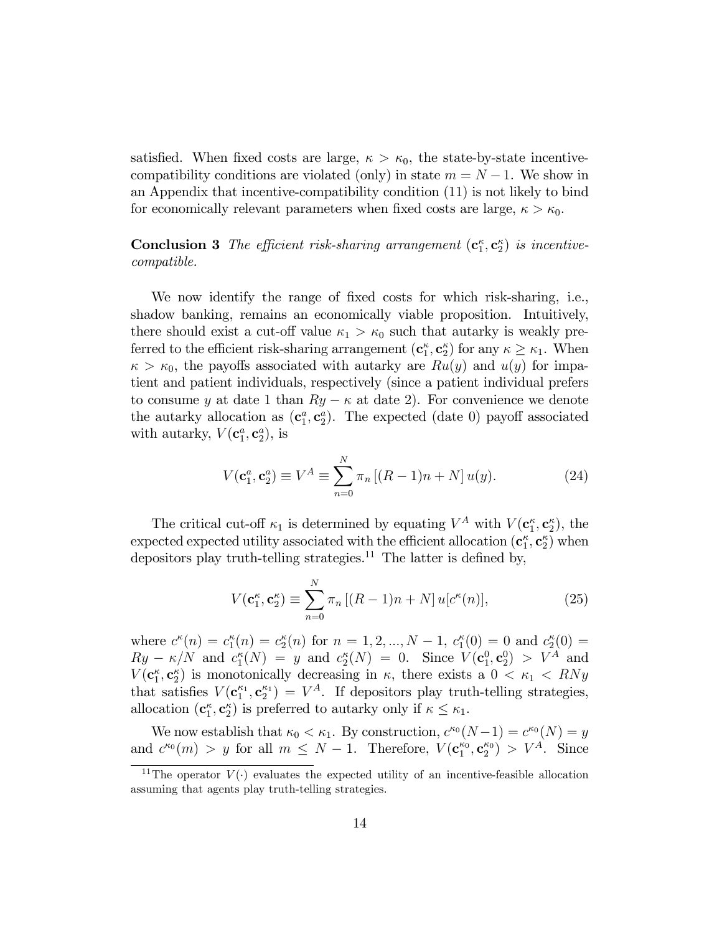satisfied. When fixed costs are large,  $\kappa > \kappa_0$ , the state-by-state incentivecompatibility conditions are violated (only) in state  $m = N - 1$ . We show in an Appendix that incentive-compatibility condition (11) is not likely to bind for economically relevant parameters when fixed costs are large,  $\kappa > \kappa_0$ .

**Conclusion 3** The efficient risk-sharing arrangement  $(c_1^{\kappa}, c_2^{\kappa})$  is incentivecompatible.

We now identify the range of fixed costs for which risk-sharing, i.e., shadow banking, remains an economically viable proposition. Intuitively, there should exist a cut-off value  $\kappa_1 > \kappa_0$  such that autarky is weakly preferred to the efficient risk-sharing arrangement  $(c_1^{\kappa}, c_2^{\kappa})$  for any  $\kappa \geq \kappa_1$ . When  $\kappa > \kappa_0$ , the payoffs associated with autarky are  $Ru(y)$  and  $u(y)$  for impatient and patient individuals, respectively (since a patient individual prefers to consume y at date 1 than  $Ry - \kappa$  at date 2). For convenience we denote the autarky allocation as  $(c_1^a, c_2^a)$ . The expected (date 0) payoff associated with autarky,  $V(\mathbf{c}_1^a, \mathbf{c}_2^a)$ , is

$$
V(\mathbf{c}_1^a, \mathbf{c}_2^a) \equiv V^A \equiv \sum_{n=0}^N \pi_n \left[ (R-1)n + N \right] u(y). \tag{24}
$$

The critical cut-off  $\kappa_1$  is determined by equating  $V^A$  with  $V(\mathbf{c}_1^{\kappa}, \mathbf{c}_2^{\kappa})$ , the expected expected utility associated with the efficient allocation  $(c_1^{\kappa}, c_2^{\kappa})$  when depositors play truth-telling strategies.<sup>11</sup> The latter is defined by,

$$
V(\mathbf{c}_1^{\kappa}, \mathbf{c}_2^{\kappa}) \equiv \sum_{n=0}^{N} \pi_n \left[ (R-1)n + N \right] u[c^{\kappa}(n)], \tag{25}
$$

where  $c^{\kappa}(n) = c_1^{\kappa}(n) = c_2^{\kappa}(n)$  for  $n = 1, 2, ..., N - 1$ ,  $c_1^{\kappa}(0) = 0$  and  $c_2^{\kappa}(0) = 0$  $Ry - \kappa/N$  and  $c_1^{\kappa}(N) = y$  and  $c_2^{\kappa}(N) = 0$ . Since  $V(\mathbf{c}_1^0, \mathbf{c}_2^0) > V^A$  and  $V(\mathbf{c}_1^{\kappa}, \mathbf{c}_2^{\kappa})$  is monotonically decreasing in  $\kappa$ , there exists a  $0 < \kappa_1 < RNy$ that satisfies  $V(c_1^{\kappa_1}, c_2^{\kappa_1}) = V^A$ . If depositors play truth-telling strategies, allocation  $(c_1^{\kappa}, c_2^{\kappa})$  is preferred to autarky only if  $\kappa \leq \kappa_1$ .

We now establish that  $\kappa_0 < \kappa_1$ . By construction,  $c^{\kappa_0}(N-1) = c^{\kappa_0}(N) = y$ and  $c^{\kappa_0}(m) > y$  for all  $m \leq N-1$ . Therefore,  $V(\mathbf{c}_1^{\kappa_0}, \mathbf{c}_2^{\kappa_0}) > V^A$ . Since

<sup>&</sup>lt;sup>11</sup>The operator  $V(\cdot)$  evaluates the expected utility of an incentive-feasible allocation assuming that agents play truth-telling strategies.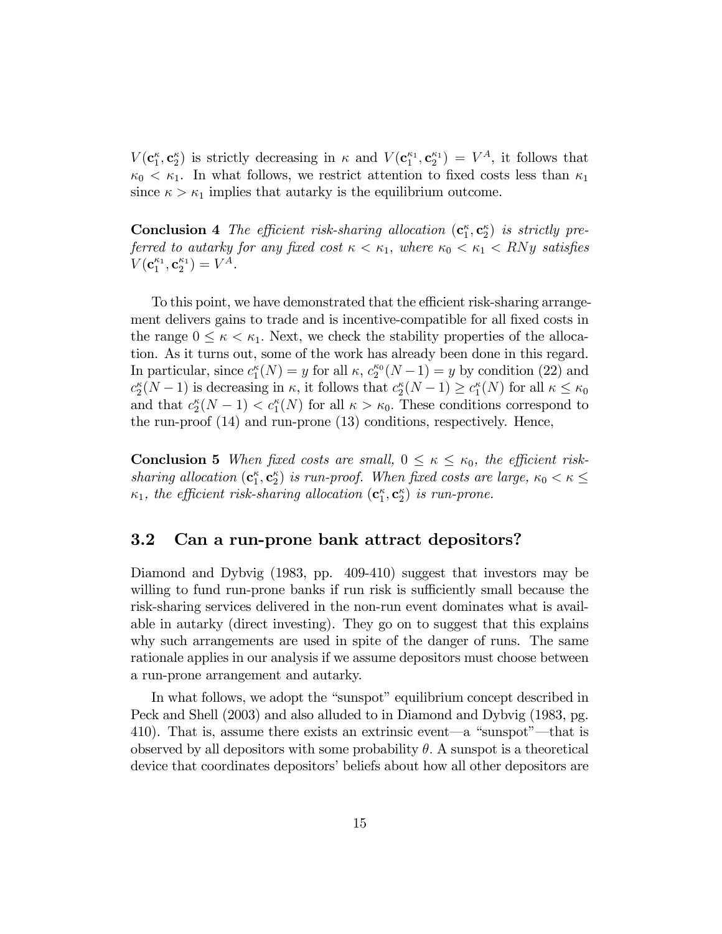$V(\mathbf{c}_1^{\kappa}, \mathbf{c}_2^{\kappa})$  is strictly decreasing in  $\kappa$  and  $V(\mathbf{c}_1^{\kappa_1}, \mathbf{c}_2^{\kappa_1}) = V^A$ , it follows that  $\kappa_0 < \kappa_1$ . In what follows, we restrict attention to fixed costs less than  $\kappa_1$ since  $\kappa > \kappa_1$  implies that autarky is the equilibrium outcome.

**Conclusion 4** The efficient risk-sharing allocation  $(c_1^{\kappa}, c_2^{\kappa})$  is strictly preferred to autarky for any fixed cost  $\kappa < \kappa_1$ , where  $\kappa_0 < \kappa_1 < RNy$  satisfies  $V(\mathbf{c}_{1}^{\kappa_1}, \mathbf{c}_{2}^{\kappa_1}) = V^A.$ 

To this point, we have demonstrated that the efficient risk-sharing arrangement delivers gains to trade and is incentive-compatible for all fixed costs in the range  $0 \leq \kappa < \kappa_1$ . Next, we check the stability properties of the allocation. As it turns out, some of the work has already been done in this regard. In particular, since  $c_1^{\kappa}(N) = y$  for all  $\kappa$ ,  $c_2^{\kappa_0}(N-1) = y$  by condition (22) and  $c_2^{\kappa}(N-1)$  is decreasing in  $\kappa$ , it follows that  $c_2^{\kappa}(N-1) \geq c_1^{\kappa}(N)$  for all  $\kappa \leq \kappa_0$ and that  $c_2^{\kappa}(N-1) < c_1^{\kappa}(N)$  for all  $\kappa > \kappa_0$ . These conditions correspond to the run-proof (14) and run-prone (13) conditions, respectively. Hence,

**Conclusion 5** When fixed costs are small,  $0 \leq \kappa \leq \kappa_0$ , the efficient risksharing allocation  $(c_1^{\kappa}, c_2^{\kappa})$  is run-proof. When fixed costs are large,  $\kappa_0 < \kappa \leq$  $\kappa_1$ , the efficient risk-sharing allocation  $(\mathbf{c}_1^{\kappa}, \mathbf{c}_2^{\kappa})$  is run-prone.

#### 3.2 Can a run-prone bank attract depositors?

Diamond and Dybvig (1983, pp. 409-410) suggest that investors may be willing to fund run-prone banks if run risk is sufficiently small because the risk-sharing services delivered in the non-run event dominates what is available in autarky (direct investing). They go on to suggest that this explains why such arrangements are used in spite of the danger of runs. The same rationale applies in our analysis if we assume depositors must choose between a run-prone arrangement and autarky.

In what follows, we adopt the "sunspot" equilibrium concept described in Peck and Shell (2003) and also alluded to in Diamond and Dybvig (1983, pg. 410). That is, assume there exists an extrinsic event—a "sunspot"—that is observed by all depositors with some probability  $\theta$ . A sunspot is a theoretical device that coordinates depositors' beliefs about how all other depositors are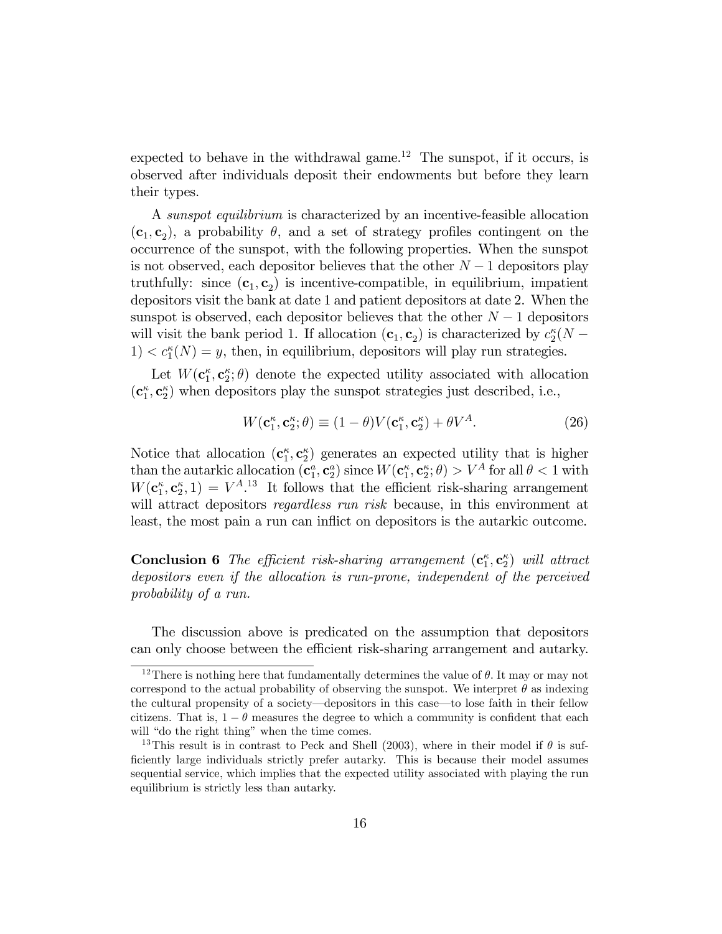expected to behave in the withdrawal game.<sup>12</sup> The sunspot, if it occurs, is observed after individuals deposit their endowments but before they learn their types.

A sunspot equilibrium is characterized by an incentive-feasible allocation  $(c_1, c_2)$ , a probability  $\theta$ , and a set of strategy profiles contingent on the occurrence of the sunspot, with the following properties. When the sunspot is not observed, each depositor believes that the other  $N-1$  depositors play truthfully: since  $(c_1, c_2)$  is incentive-compatible, in equilibrium, impatient depositors visit the bank at date 1 and patient depositors at date 2. When the sunspot is observed, each depositor believes that the other  $N-1$  depositors will visit the bank period 1. If allocation  $(c_1, c_2)$  is characterized by  $c_2^{\kappa}(N 1) < c_1^{\kappa}(N) = y$ , then, in equilibrium, depositors will play run strategies.

Let  $W(\mathbf{c}_1^{\kappa}, \mathbf{c}_2^{\kappa}; \theta)$  denote the expected utility associated with allocation  $(c_1^{\kappa}, c_2^{\kappa})$  when depositors play the sunspot strategies just described, i.e.,

$$
W(\mathbf{c}_1^{\kappa}, \mathbf{c}_2^{\kappa}; \theta) \equiv (1 - \theta)V(\mathbf{c}_1^{\kappa}, \mathbf{c}_2^{\kappa}) + \theta V^A. \tag{26}
$$

Notice that allocation  $(c_1^{\kappa}, c_2^{\kappa})$  generates an expected utility that is higher than the autarkic allocation  $(c_1^a, c_2^a)$  since  $W(c_1^{\kappa}, c_2^{\kappa}; \theta) > V^A$  for all  $\theta < 1$  with  $W(\mathbf{c}_1^{\kappa}, \mathbf{c}_2^{\kappa}, 1) = V^{A}$ .<sup>13</sup> It follows that the efficient risk-sharing arrangement will attract depositors *regardless run risk* because, in this environment at least, the most pain a run can inflict on depositors is the autarkic outcome.

**Conclusion 6** The efficient risk-sharing arrangement  $(c_1^{\kappa}, c_2^{\kappa})$  will attract depositors even if the allocation is run-prone, independent of the perceived probability of a run.

The discussion above is predicated on the assumption that depositors can only choose between the efficient risk-sharing arrangement and autarky.

<sup>&</sup>lt;sup>12</sup>There is nothing here that fundamentally determines the value of  $\theta$ . It may or may not correspond to the actual probability of observing the sunspot. We interpret  $\theta$  as indexing the cultural propensity of a society—depositors in this case—to lose faith in their fellow citizens. That is,  $1 - \theta$  measures the degree to which a community is confident that each will "do the right thing" when the time comes.

<sup>&</sup>lt;sup>13</sup>This result is in contrast to Peck and Shell (2003), where in their model if  $\theta$  is sufficiently large individuals strictly prefer autarky. This is because their model assumes sequential service, which implies that the expected utility associated with playing the run equilibrium is strictly less than autarky.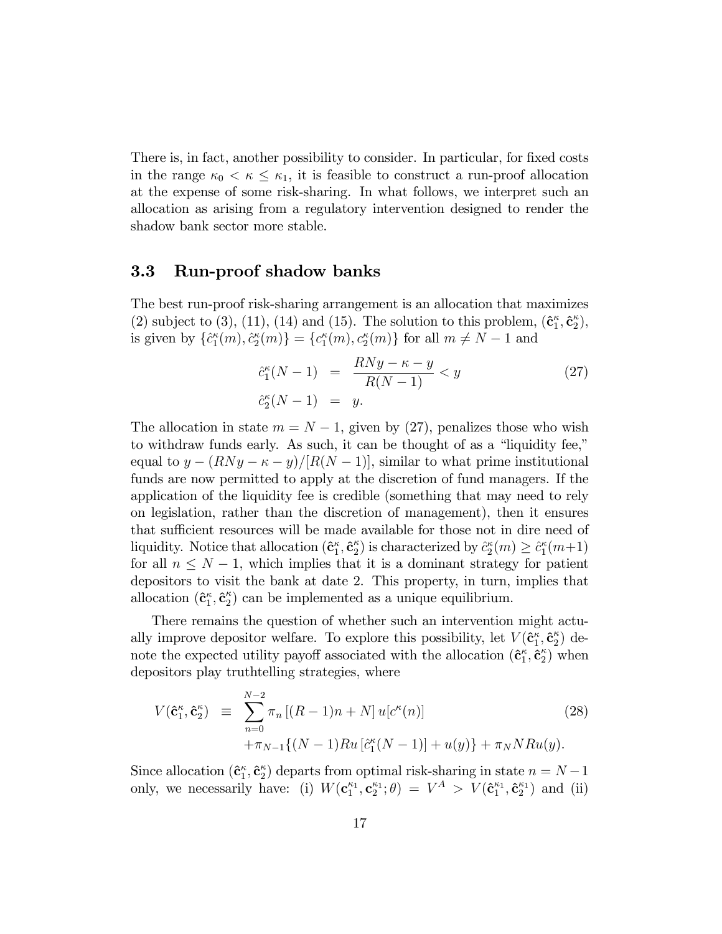There is, in fact, another possibility to consider. In particular, for fixed costs in the range  $\kappa_0 < \kappa \leq \kappa_1$ , it is feasible to construct a run-proof allocation at the expense of some risk-sharing. In what follows, we interpret such an allocation as arising from a regulatory intervention designed to render the shadow bank sector more stable.

#### 3.3 Run-proof shadow banks

The best run-proof risk-sharing arrangement is an allocation that maximizes (2) subject to (3), (11), (14) and (15). The solution to this problem,  $(\hat{\mathbf{c}}_1^{\kappa}, \hat{\mathbf{c}}_2^{\kappa})$ , is given by  $\{\hat{c}_1^{\kappa}(m), \hat{c}_2^{\kappa}(m)\} = \{c_1^{\kappa}(m), c_2^{\kappa}(m)\}\$ for all  $m \neq N - 1$  and

$$
\begin{aligned}\n\hat{c}_1^{\kappa}(N-1) &= \frac{RNy - \kappa - y}{R(N-1)} < y \\
\hat{c}_2^{\kappa}(N-1) &= y.\n\end{aligned} \tag{27}
$$

The allocation in state  $m = N - 1$ , given by (27), penalizes those who wish to withdraw funds early. As such, it can be thought of as a "liquidity fee," equal to  $y - (RNy - \kappa - y)/[R(N - 1)]$ , similar to what prime institutional funds are now permitted to apply at the discretion of fund managers. If the application of the liquidity fee is credible (something that may need to rely on legislation, rather than the discretion of management), then it ensures that sufficient resources will be made available for those not in dire need of liquidity. Notice that allocation  $(\hat{\mathbf{c}}_1^{\kappa}, \hat{\mathbf{c}}_2^{\kappa})$  is characterized by  $\hat{c}_2^{\kappa}(m) \geq \hat{c}_1^{\kappa}(m+1)$ for all  $n \leq N - 1$ , which implies that it is a dominant strategy for patient depositors to visit the bank at date 2. This property, in turn, implies that allocation  $(\hat{\mathbf{c}}_1^{\kappa}, \hat{\mathbf{c}}_2^{\kappa})$  can be implemented as a unique equilibrium.

There remains the question of whether such an intervention might actually improve depositor welfare. To explore this possibility, let  $V(\hat{\mathbf{c}}_1^{\kappa}, \hat{\mathbf{c}}_2^{\kappa})$  denote the expected utility payoff associated with the allocation  $(\hat{\mathbf{c}}_1^{\kappa}, \hat{\mathbf{c}}_2^{\kappa})$  when depositors play truthtelling strategies, where

$$
V(\hat{\mathbf{c}}_1^{\kappa}, \hat{\mathbf{c}}_2^{\kappa}) \equiv \sum_{n=0}^{N-2} \pi_n \left[ (R-1)n + N \right] u[c^{\kappa}(n)] \tag{28}
$$

$$
+ \pi_{N-1} \{ (N-1)Ru \left[ \hat{c}_1^{\kappa}(N-1) \right] + u(y) \} + \pi_N N R u(y).
$$

Since allocation  $(\hat{\mathbf{c}}_1^{\kappa}, \hat{\mathbf{c}}_2^{\kappa})$  departs from optimal risk-sharing in state  $n = N - 1$ only, we necessarily have: (i)  $W(\mathbf{c}_1^{\kappa_1}, \mathbf{c}_2^{\kappa_1}; \theta) = V^A > V(\mathbf{\hat{c}}_1^{\kappa_1}, \mathbf{\hat{c}}_2^{\kappa_1})$  and (ii)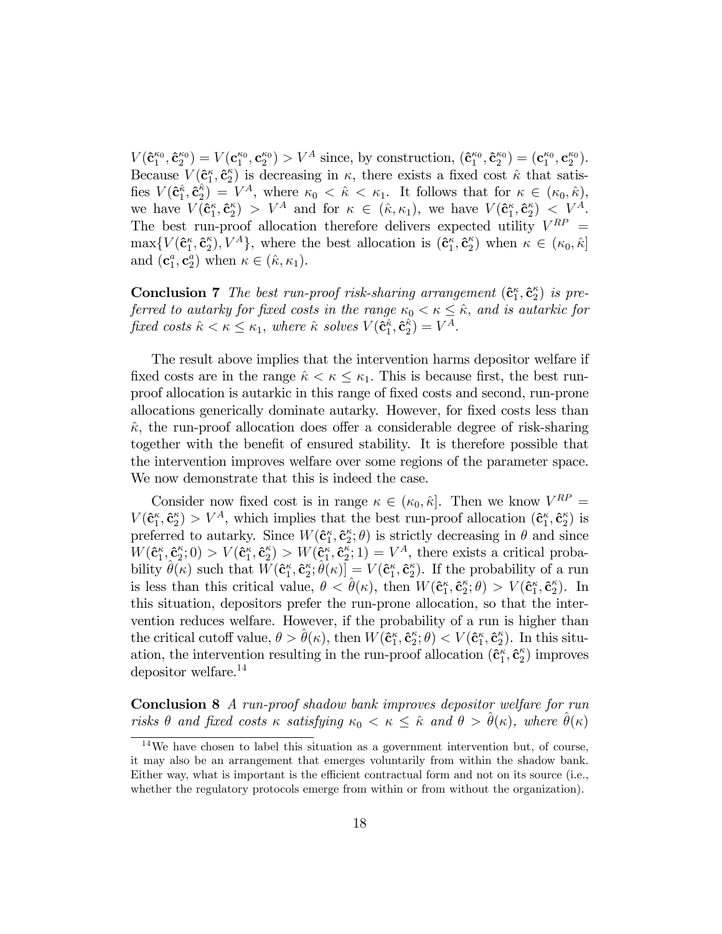$V(\hat{\mathbf{c}}_1^{\kappa_0}, \hat{\mathbf{c}}_2^{\kappa_0}) = V(\mathbf{c}_1^{\kappa_0}, \mathbf{c}_2^{\kappa_0}) > V^A$  since, by construction,  $(\hat{\mathbf{c}}_1^{\kappa_0}, \hat{\mathbf{c}}_2^{\kappa_0}) = (\mathbf{c}_1^{\kappa_0}, \mathbf{c}_2^{\kappa_0}).$ Because  $V(\hat{\mathbf{c}}_1^{\kappa},\hat{\mathbf{c}}_2^{\kappa})$  is decreasing in  $\kappa$ , there exists a fixed cost  $\hat{\kappa}$  that satisfies  $V(\hat{\mathbf{c}}_1^{\hat{\kappa}}, \hat{\mathbf{c}}_2^{\hat{\kappa}}) = V^A$ , where  $\kappa_0 < \hat{\kappa} < \kappa_1$ . It follows that for  $\kappa \in (\kappa_0, \hat{\kappa})$ , we have  $V(\mathbf{\hat{c}}_1^{\kappa}, \mathbf{\hat{c}}_2^{\kappa}) > V^A$  and for  $\kappa \in (\hat{\kappa}, \kappa_1)$ , we have  $V(\mathbf{\hat{c}}_1^{\kappa}, \mathbf{\hat{c}}_2^{\kappa}) < V^A$ . The best run-proof allocation therefore delivers expected utility  $V^{RP}$  =  $\max\{V(\hat{\mathbf{c}}_1^{\kappa}, \hat{\mathbf{c}}_2^{\kappa}), V^A\},\$  where the best allocation is  $(\hat{\mathbf{c}}_1^{\kappa}, \hat{\mathbf{c}}_2^{\kappa})$  when  $\kappa \in (\kappa_0, \hat{\kappa}]$ and  $(\mathbf{c}_1^a, \mathbf{c}_2^a)$  when  $\kappa \in (\hat{\kappa}, \kappa_1)$ .

**Conclusion 7** The best run-proof risk-sharing arrangement  $(\hat{\mathbf{c}}_1^{\kappa}, \hat{\mathbf{c}}_2^{\kappa})$  is preferred to autarky for fixed costs in the range  $\kappa_0 < \kappa \leq \hat{\kappa}$ , and is autarkic for fixed costs  $\hat{\kappa} < \kappa \leq \kappa_1$ , where  $\hat{\kappa}$  solves  $V(\hat{\mathbf{c}}_1^{\hat{\kappa}}, \hat{\mathbf{c}}_2^{\hat{\kappa}}) = V^A$ .

The result above implies that the intervention harms depositor welfare if fixed costs are in the range  $\hat{\kappa} < \kappa \leq \kappa_1$ . This is because first, the best runproof allocation is autarkic in this range of Öxed costs and second, run-prone allocations generically dominate autarky. However, for fixed costs less than  $\hat{\kappa}$ , the run-proof allocation does offer a considerable degree of risk-sharing together with the benefit of ensured stability. It is therefore possible that the intervention improves welfare over some regions of the parameter space. We now demonstrate that this is indeed the case.

Consider now fixed cost is in range  $\kappa \in (\kappa_0, \hat{\kappa}]$ . Then we know  $V^{RP} =$  $V(\hat{\mathbf{c}}_1^{\kappa}, \hat{\mathbf{c}}_2^{\kappa}) > V^A$ , which implies that the best run-proof allocation  $(\hat{\mathbf{c}}_1^{\kappa}, \hat{\mathbf{c}}_2^{\kappa})$  is preferred to autarky. Since  $W(\hat{\mathbf{c}}_1^{\kappa}, \hat{\mathbf{c}}_2^{\kappa}; \theta)$  is strictly decreasing in  $\theta$  and since  $W(\hat{\mathbf{c}}_1^{\kappa}, \hat{\mathbf{c}}_2^{\kappa};0) > V(\hat{\mathbf{c}}_1^{\kappa}, \hat{\mathbf{c}}_2^{\kappa}) > W(\hat{\mathbf{c}}_1^{\kappa}, \hat{\mathbf{c}}_2^{\kappa};1) = V^A$ , there exists a critical probability  $\hat{\theta}(\kappa)$  such that  $W(\hat{\mathbf{c}}_1^{\kappa},\hat{\mathbf{c}}_2^{\kappa};\hat{\theta}(\kappa)] = V(\hat{\mathbf{c}}_1^{\kappa},\hat{\mathbf{c}}_2^{\kappa})$ . If the probability of a run is less than this critical value,  $\theta < \hat{\theta}(\kappa)$ , then  $W(\hat{\mathbf{c}}_1^{\kappa}, \hat{\mathbf{c}}_2^{\kappa}; \theta) > V(\hat{\mathbf{c}}_1^{\kappa}, \hat{\mathbf{c}}_2^{\kappa})$ . In this situation, depositors prefer the run-prone allocation, so that the intervention reduces welfare. However, if the probability of a run is higher than the critical cutoff value,  $\theta > \hat{\theta}(\kappa)$ , then  $W(\hat{\mathbf{c}}_1^{\kappa}, \hat{\mathbf{c}}_2^{\kappa}; \theta) < V(\hat{\mathbf{c}}_1^{\kappa}, \hat{\mathbf{c}}_2^{\kappa})$ . In this situation, the intervention resulting in the run-proof allocation  $(\hat{\mathbf{c}}_1^{\kappa}, \hat{\mathbf{c}}_2^{\kappa})$  improves depositor welfare.<sup>14</sup>

Conclusion 8 A run-proof shadow bank improves depositor welfare for run risks  $\theta$  and fixed costs  $\kappa$  satisfying  $\kappa_0 < \kappa < \hat{\kappa}$  and  $\theta > \hat{\theta}(\kappa)$ , where  $\hat{\theta}(\kappa)$ 

<sup>14</sup>We have chosen to label this situation as a government intervention but, of course, it may also be an arrangement that emerges voluntarily from within the shadow bank. Either way, what is important is the efficient contractual form and not on its source (i.e., whether the regulatory protocols emerge from within or from without the organization).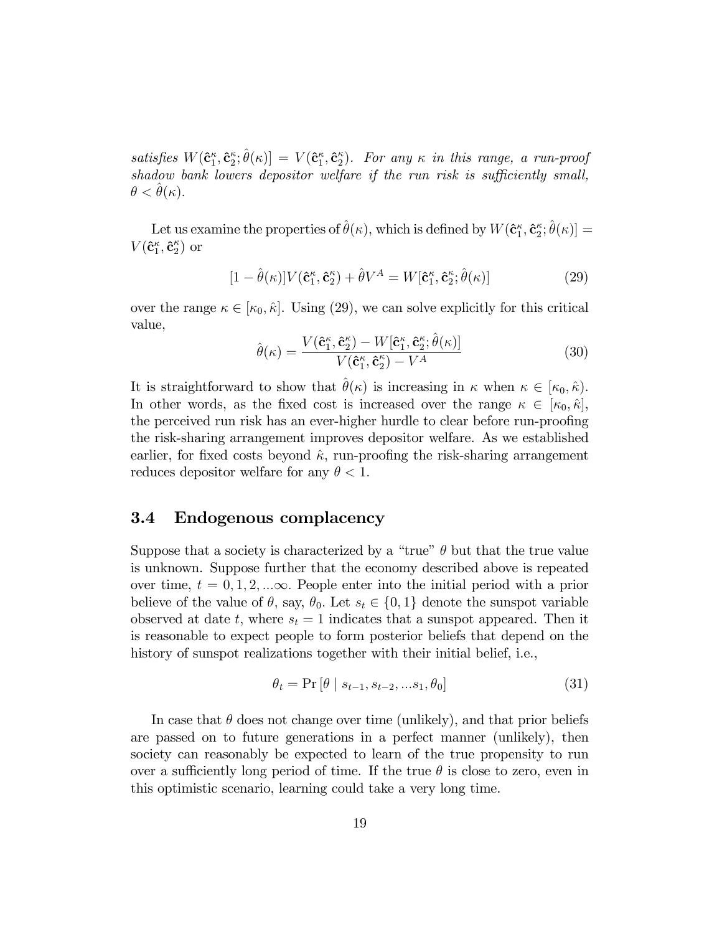satisfies  $W(\mathbf{\hat{c}}_1^{\kappa}, \mathbf{\hat{c}}_2^{\kappa}; \hat{\theta}(\kappa)] = V(\mathbf{\hat{c}}_1^{\kappa}, \mathbf{\hat{c}}_2^{\kappa}).$  For any  $\kappa$  in this range, a run-proof shadow bank lowers depositor welfare if the run risk is sufficiently small,  $\theta < \theta(\kappa).$ 

Let us examine the properties of  $\hat{\theta}(\kappa)$ , which is defined by  $W(\mathbf{\hat{c}}_1^{\kappa}, \mathbf{\hat{c}}_2^{\kappa}; \hat{\theta}(\kappa)] =$  $V(\mathbf{\hat{c}}_1^{\kappa}, \mathbf{\hat{c}}_2^{\kappa})$  or

$$
[1 - \hat{\theta}(\kappa)]V(\hat{\mathbf{c}}_1^{\kappa}, \hat{\mathbf{c}}_2^{\kappa}) + \hat{\theta}V^A = W[\hat{\mathbf{c}}_1^{\kappa}, \hat{\mathbf{c}}_2^{\kappa}; \hat{\theta}(\kappa)] \tag{29}
$$

over the range  $\kappa \in [\kappa_0, \hat{\kappa}]$ . Using (29), we can solve explicitly for this critical value,

$$
\hat{\theta}(\kappa) = \frac{V(\hat{\mathbf{c}}_1^{\kappa}, \hat{\mathbf{c}}_2^{\kappa}) - W[\hat{\mathbf{c}}_1^{\kappa}, \hat{\mathbf{c}}_2^{\kappa}; \hat{\theta}(\kappa)]}{V(\hat{\mathbf{c}}_1^{\kappa}, \hat{\mathbf{c}}_2^{\kappa}) - V^A}
$$
(30)

It is straightforward to show that  $\hat{\theta}(\kappa)$  is increasing in  $\kappa$  when  $\kappa \in [\kappa_0, \hat{\kappa}).$ In other words, as the fixed cost is increased over the range  $\kappa \in [\kappa_0, \hat{\kappa}],$ the perceived run risk has an ever-higher hurdle to clear before run-proofing the risk-sharing arrangement improves depositor welfare. As we established earlier, for fixed costs beyond  $\hat{\kappa}$ , run-proofing the risk-sharing arrangement reduces depositor welfare for any  $\theta < 1$ .

### 3.4 Endogenous complacency

Suppose that a society is characterized by a "true"  $\theta$  but that the true value is unknown. Suppose further that the economy described above is repeated over time,  $t = 0, 1, 2, \ldots$ . People enter into the initial period with a prior believe of the value of  $\theta$ , say,  $\theta_0$ . Let  $s_t \in \{0, 1\}$  denote the sunspot variable observed at date t, where  $s_t = 1$  indicates that a sunspot appeared. Then it is reasonable to expect people to form posterior beliefs that depend on the history of sunspot realizations together with their initial belief, i.e.,

$$
\theta_t = \Pr\left[\theta \mid s_{t-1}, s_{t-2}, \dots s_1, \theta_0\right] \tag{31}
$$

In case that  $\theta$  does not change over time (unlikely), and that prior beliefs are passed on to future generations in a perfect manner (unlikely), then society can reasonably be expected to learn of the true propensity to run over a sufficiently long period of time. If the true  $\theta$  is close to zero, even in this optimistic scenario, learning could take a very long time.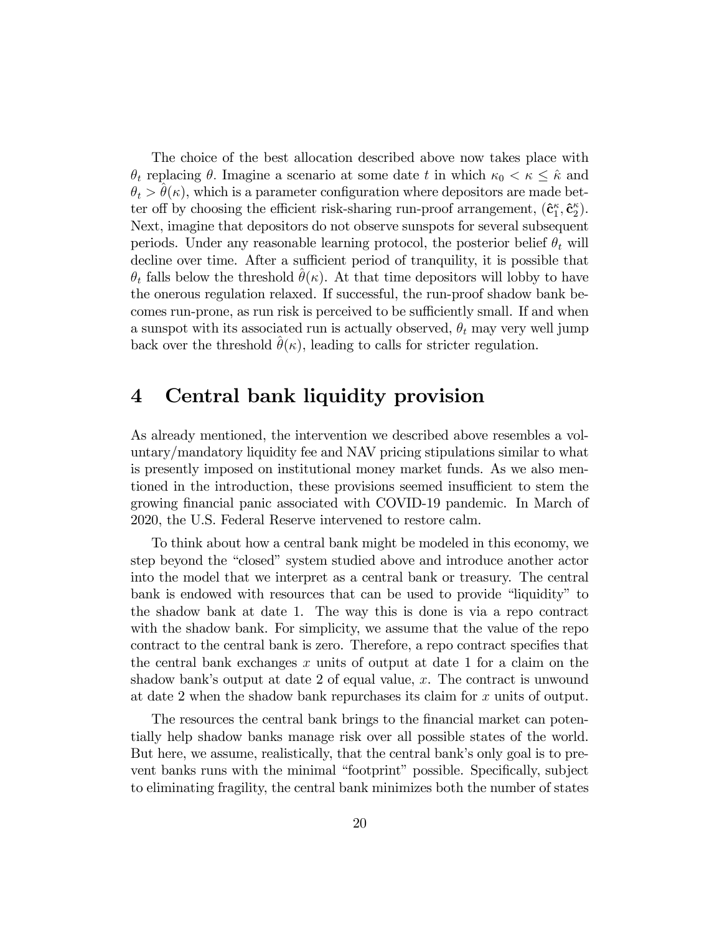The choice of the best allocation described above now takes place with  $\theta_t$  replacing  $\theta$ . Imagine a scenario at some date t in which  $\kappa_0 < \kappa \leq \hat{\kappa}$  and  $\theta_t > \theta(\kappa)$ , which is a parameter configuration where depositors are made better off by choosing the efficient risk-sharing run-proof arrangement,  $(\hat{\mathbf{c}}_1^{\kappa}, \hat{\mathbf{c}}_2^{\kappa})$ . Next, imagine that depositors do not observe sunspots for several subsequent periods. Under any reasonable learning protocol, the posterior belief  $\theta_t$  will decline over time. After a sufficient period of tranquility, it is possible that  $\theta_t$  falls below the threshold  $\theta(\kappa)$ . At that time depositors will lobby to have the onerous regulation relaxed. If successful, the run-proof shadow bank becomes run-prone, as run risk is perceived to be sufficiently small. If and when a sunspot with its associated run is actually observed,  $\theta_t$  may very well jump back over the threshold  $\theta(\kappa)$ , leading to calls for stricter regulation.

### 4 Central bank liquidity provision

As already mentioned, the intervention we described above resembles a voluntary/mandatory liquidity fee and NAV pricing stipulations similar to what is presently imposed on institutional money market funds. As we also mentioned in the introduction, these provisions seemed insufficient to stem the growing financial panic associated with COVID-19 pandemic. In March of 2020, the U.S. Federal Reserve intervened to restore calm.

To think about how a central bank might be modeled in this economy, we step beyond the "closed" system studied above and introduce another actor into the model that we interpret as a central bank or treasury. The central bank is endowed with resources that can be used to provide "liquidity" to the shadow bank at date 1. The way this is done is via a repo contract with the shadow bank. For simplicity, we assume that the value of the repo contract to the central bank is zero. Therefore, a repo contract specifies that the central bank exchanges  $x$  units of output at date 1 for a claim on the shadow bank's output at date 2 of equal value,  $x$ . The contract is unwound at date 2 when the shadow bank repurchases its claim for  $x$  units of output.

The resources the central bank brings to the financial market can potentially help shadow banks manage risk over all possible states of the world. But here, we assume, realistically, that the central bank's only goal is to prevent banks runs with the minimal "footprint" possible. Specifically, subject to eliminating fragility, the central bank minimizes both the number of states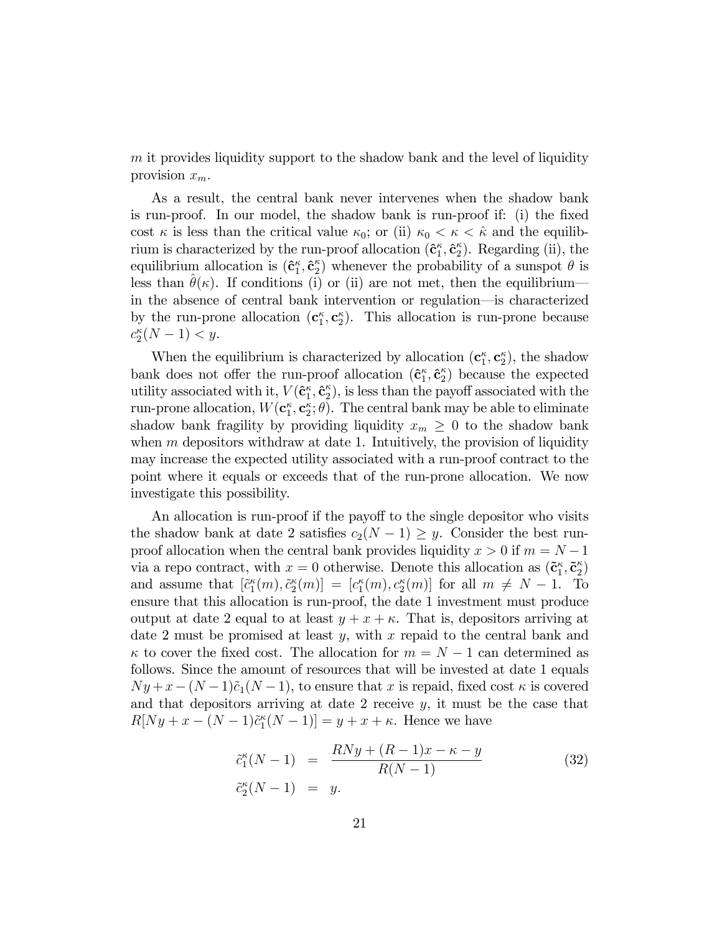$m$  it provides liquidity support to the shadow bank and the level of liquidity provision  $x_m$ .

As a result, the central bank never intervenes when the shadow bank is run-proof. In our model, the shadow bank is run-proof if: (i) the fixed cost  $\kappa$  is less than the critical value  $\kappa_0$ ; or (ii)  $\kappa_0 < \kappa < \hat{\kappa}$  and the equilibrium is characterized by the run-proof allocation  $(\hat{\mathbf{c}}_1^{\kappa}, \hat{\mathbf{c}}_2^{\kappa})$ . Regarding (ii), the equilibrium allocation is  $(\hat{\mathbf{c}}_1^{\kappa}, \hat{\mathbf{c}}_2^{\kappa})$  whenever the probability of a sunspot  $\theta$  is less than  $\theta(\kappa)$ . If conditions (i) or (ii) are not met, then the equilibrium in the absence of central bank intervention or regulation—is characterized by the run-prone allocation  $(c_1^{\kappa}, c_2^{\kappa})$ . This allocation is run-prone because  $c_2^{\kappa}(N-1) < y.$ 

When the equilibrium is characterized by allocation  $(c_1^{\kappa}, c_2^{\kappa})$ , the shadow bank does not offer the run-proof allocation  $(\hat{\mathbf{c}}_1^{\kappa}, \hat{\mathbf{c}}_2^{\kappa})$  because the expected utility associated with it,  $V(\hat{\mathbf{c}}_1^{\kappa}, \hat{\mathbf{c}}_2^{\kappa})$ , is less than the payoff associated with the run-prone allocation,  $W(\mathbf{c}_1^{\kappa}, \mathbf{c}_2^{\kappa}; \theta)$ . The central bank may be able to eliminate shadow bank fragility by providing liquidity  $x_m \geq 0$  to the shadow bank when  $m$  depositors withdraw at date 1. Intuitively, the provision of liquidity may increase the expected utility associated with a run-proof contract to the point where it equals or exceeds that of the run-prone allocation. We now investigate this possibility.

An allocation is run-proof if the payoff to the single depositor who visits the shadow bank at date 2 satisfies  $c_2(N-1) \geq y$ . Consider the best runproof allocation when the central bank provides liquidity  $x > 0$  if  $m = N - 1$ via a repo contract, with  $x = 0$  otherwise. Denote this allocation as  $(\tilde{\mathbf{c}}_1^{\kappa}, \tilde{\mathbf{c}}_2^{\kappa})$ and assume that  $[\tilde{c}_1^{\kappa}(m), \tilde{c}_2^{\kappa}(m)] = [c_1^{\kappa}(m), c_2^{\kappa}(m)]$  for all  $m \neq N - 1$ . To ensure that this allocation is run-proof, the date 1 investment must produce output at date 2 equal to at least  $y + x + \kappa$ . That is, depositors arriving at date 2 must be promised at least  $y$ , with  $x$  repaid to the central bank and  $\kappa$  to cover the fixed cost. The allocation for  $m = N - 1$  can determined as follows. Since the amount of resources that will be invested at date 1 equals  $Ny + x - (N - 1)\tilde{c}_1(N - 1)$ , to ensure that x is repaid, fixed cost  $\kappa$  is covered and that depositors arriving at date 2 receive  $y$ , it must be the case that  $R[Ny + x - (N-1)\tilde{c}_1^{\kappa}(N-1)] = y + x + \kappa$ . Hence we have

$$
\tilde{c}_{1}^{\kappa}(N-1) = \frac{RNy + (R-1)x - \kappa - y}{R(N-1)} \n\tilde{c}_{2}^{\kappa}(N-1) = y.
$$
\n(32)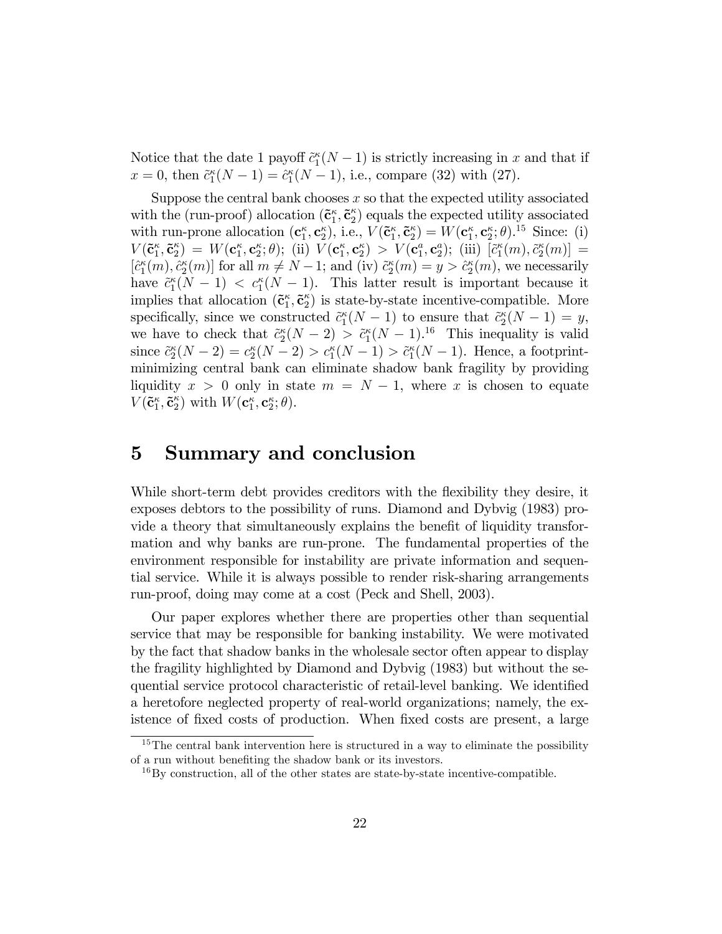Notice that the date 1 payoff  $\tilde{c}_1^{\kappa}(N-1)$  is strictly increasing in x and that if  $x = 0$ , then  $\tilde{c}_1^{\kappa}(N - 1) = \hat{c}_1^{\kappa}(N - 1)$ , i.e., compare (32) with (27).

Suppose the central bank chooses  $x$  so that the expected utility associated with the (run-proof) allocation  $(\tilde{\mathbf{c}}_1^{\kappa}, \tilde{\mathbf{c}}_2^{\kappa})$  equals the expected utility associated with run-prone allocation  $(c_1^{\kappa}, c_2^{\kappa})$ , i.e.,  $V(\tilde{c}_1^{\kappa}, \tilde{c}_2^{\kappa}) = W(c_1^{\kappa}, c_2^{\kappa}; \theta)$ .<sup>15</sup> Since: (i)  $V(\mathbf{\tilde{c}}_1^{\kappa}, \mathbf{\tilde{c}}_2^{\kappa}) = W(\mathbf{c}_1^{\kappa}, \mathbf{c}_2^{\kappa}; \theta);$  (ii)  $V(\mathbf{c}_1^{\kappa}, \mathbf{c}_2^{\kappa}) > V(\mathbf{c}_1^a, \mathbf{c}_2^a);$  (iii)  $[\tilde{c}_1^{\kappa}(m), \tilde{c}_2^{\kappa}(m)] =$  $[\hat{c}_1^{\kappa}(m), \hat{c}_2^{\kappa}(m)]$  for all  $m \neq N-1$ ; and (iv)  $\tilde{c}_2^{\kappa}(m) = y > \hat{c}_2^{\kappa}(m)$ , we necessarily have  $\tilde{c}_1^{\kappa}(N-1) < c_1^{\kappa}(N-1)$ . This latter result is important because it implies that allocation  $(\tilde{c}_1^{\kappa}, \tilde{c}_2^{\kappa})$  is state-by-state incentive-compatible. More specifically, since we constructed  $\tilde{c}_1^{\kappa}(N-1)$  to ensure that  $\tilde{c}_2^{\kappa}(N-1) = y$ , we have to check that  $\tilde{c}_2^k(N-2) > \tilde{c}_1^k(N-1)$ .<sup>16</sup> This inequality is valid since  $\tilde{c}_2^{\kappa}(N-2) = c_2^{\kappa}(N-2) > c_1^{\kappa}(N-1) > \tilde{c}_1^{\kappa}(N-1)$ . Hence, a footprintminimizing central bank can eliminate shadow bank fragility by providing liquidity  $x > 0$  only in state  $m = N - 1$ , where x is chosen to equate  $V(\mathbf{\tilde{c}}_1^{\kappa}, \mathbf{\tilde{c}}_2^{\kappa})$  with  $W(\mathbf{c}_1^{\kappa}, \mathbf{c}_2^{\kappa}; \theta)$ .

### 5 Summary and conclusion

While short-term debt provides creditors with the flexibility they desire, it exposes debtors to the possibility of runs. Diamond and Dybvig (1983) provide a theory that simultaneously explains the benefit of liquidity transformation and why banks are run-prone. The fundamental properties of the environment responsible for instability are private information and sequential service. While it is always possible to render risk-sharing arrangements run-proof, doing may come at a cost (Peck and Shell, 2003).

Our paper explores whether there are properties other than sequential service that may be responsible for banking instability. We were motivated by the fact that shadow banks in the wholesale sector often appear to display the fragility highlighted by Diamond and Dybvig (1983) but without the sequential service protocol characteristic of retail-level banking. We identified a heretofore neglected property of real-world organizations; namely, the existence of fixed costs of production. When fixed costs are present, a large

 $15$ The central bank intervention here is structured in a way to eliminate the possibility of a run without benefiting the shadow bank or its investors.

 $16By$  construction, all of the other states are state-by-state incentive-compatible.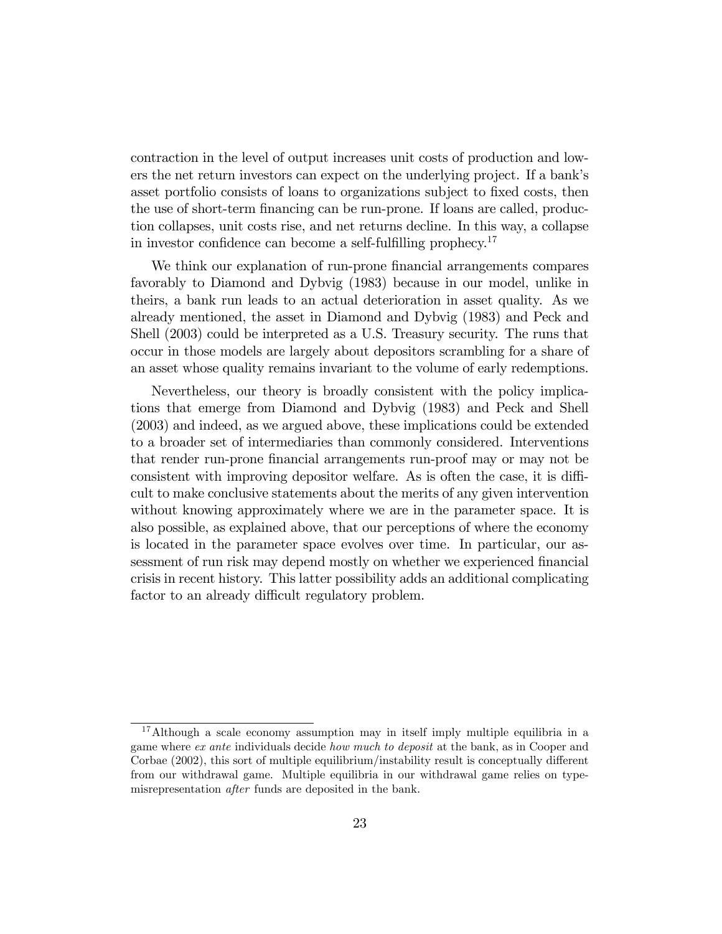contraction in the level of output increases unit costs of production and lowers the net return investors can expect on the underlying project. If a bankís asset portfolio consists of loans to organizations subject to fixed costs, then the use of short-term financing can be run-prone. If loans are called, production collapses, unit costs rise, and net returns decline. In this way, a collapse in investor confidence can become a self-fulfilling prophecy.<sup>17</sup>

We think our explanation of run-prone financial arrangements compares favorably to Diamond and Dybvig (1983) because in our model, unlike in theirs, a bank run leads to an actual deterioration in asset quality. As we already mentioned, the asset in Diamond and Dybvig (1983) and Peck and Shell (2003) could be interpreted as a U.S. Treasury security. The runs that occur in those models are largely about depositors scrambling for a share of an asset whose quality remains invariant to the volume of early redemptions.

Nevertheless, our theory is broadly consistent with the policy implications that emerge from Diamond and Dybvig (1983) and Peck and Shell (2003) and indeed, as we argued above, these implications could be extended to a broader set of intermediaries than commonly considered. Interventions that render run-prone Önancial arrangements run-proof may or may not be consistent with improving depositor welfare. As is often the case, it is difficult to make conclusive statements about the merits of any given intervention without knowing approximately where we are in the parameter space. It is also possible, as explained above, that our perceptions of where the economy is located in the parameter space evolves over time. In particular, our assessment of run risk may depend mostly on whether we experienced financial crisis in recent history. This latter possibility adds an additional complicating factor to an already difficult regulatory problem.

<sup>&</sup>lt;sup>17</sup>Although a scale economy assumption may in itself imply multiple equilibria in a game where ex ante individuals decide how much to deposit at the bank, as in Cooper and Corbae  $(2002)$ , this sort of multiple equilibrium/instability result is conceptually different from our withdrawal game. Multiple equilibria in our withdrawal game relies on typemisrepresentation after funds are deposited in the bank.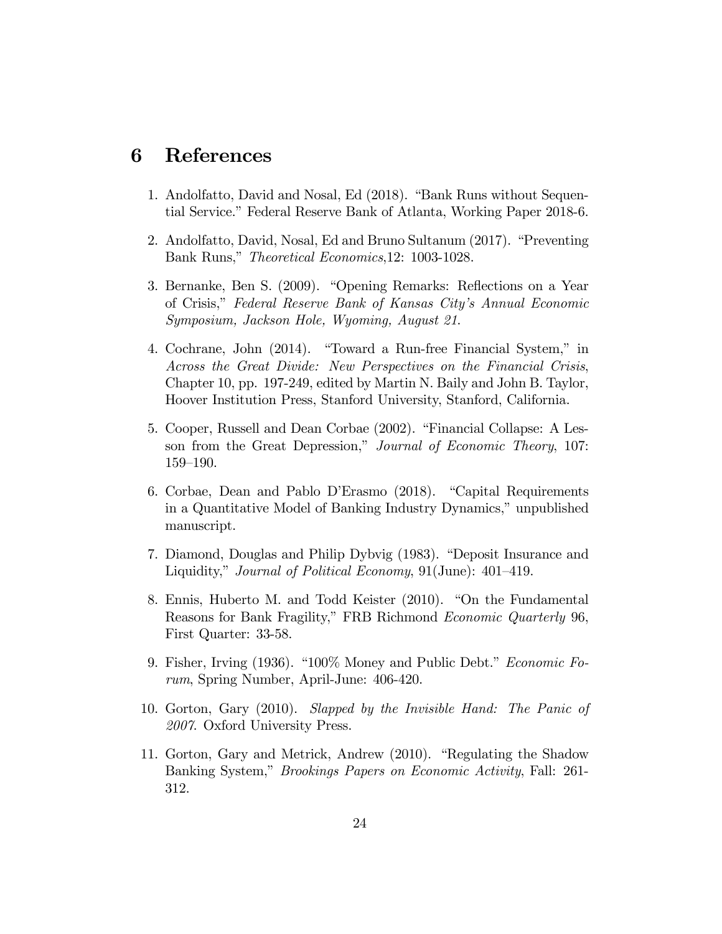### 6 References

- 1. Andolfatto, David and Nosal, Ed (2018). "Bank Runs without Sequential Service." Federal Reserve Bank of Atlanta, Working Paper 2018-6.
- 2. Andolfatto, David, Nosal, Ed and Bruno Sultanum (2017). "Preventing Bank Runs," *Theoretical Economics*,12: 1003-1028.
- 3. Bernanke, Ben S. (2009). "Opening Remarks: Reflections on a Year of Crisis,î Federal Reserve Bank of Kansas Cityís Annual Economic Symposium, Jackson Hole, Wyoming, August 21.
- 4. Cochrane, John (2014). "Toward a Run-free Financial System," in Across the Great Divide: New Perspectives on the Financial Crisis, Chapter 10, pp. 197-249, edited by Martin N. Baily and John B. Taylor, Hoover Institution Press, Stanford University, Stanford, California.
- 5. Cooper, Russell and Dean Corbae (2002). "Financial Collapse: A Lesson from the Great Depression," Journal of Economic Theory, 107: 159-190.
- 6. Corbae, Dean and Pablo D'Erasmo (2018). "Capital Requirements in a Quantitative Model of Banking Industry Dynamics," unpublished manuscript.
- 7. Diamond, Douglas and Philip Dybvig (1983). "Deposit Insurance and Liquidity," Journal of Political Economy,  $91$ (June):  $401-419$ .
- 8. Ennis, Huberto M. and Todd Keister (2010). "On the Fundamental Reasons for Bank Fragility," FRB Richmond Economic Quarterly 96, First Quarter: 33-58.
- 9. Fisher, Irving (1936). " $100\%$  Money and Public Debt." *Economic Fo*rum, Spring Number, April-June: 406-420.
- 10. Gorton, Gary (2010). Slapped by the Invisible Hand: The Panic of 2007. Oxford University Press.
- 11. Gorton, Gary and Metrick, Andrew  $(2010)$ . "Regulating the Shadow Banking System," Brookings Papers on Economic Activity, Fall: 261-312.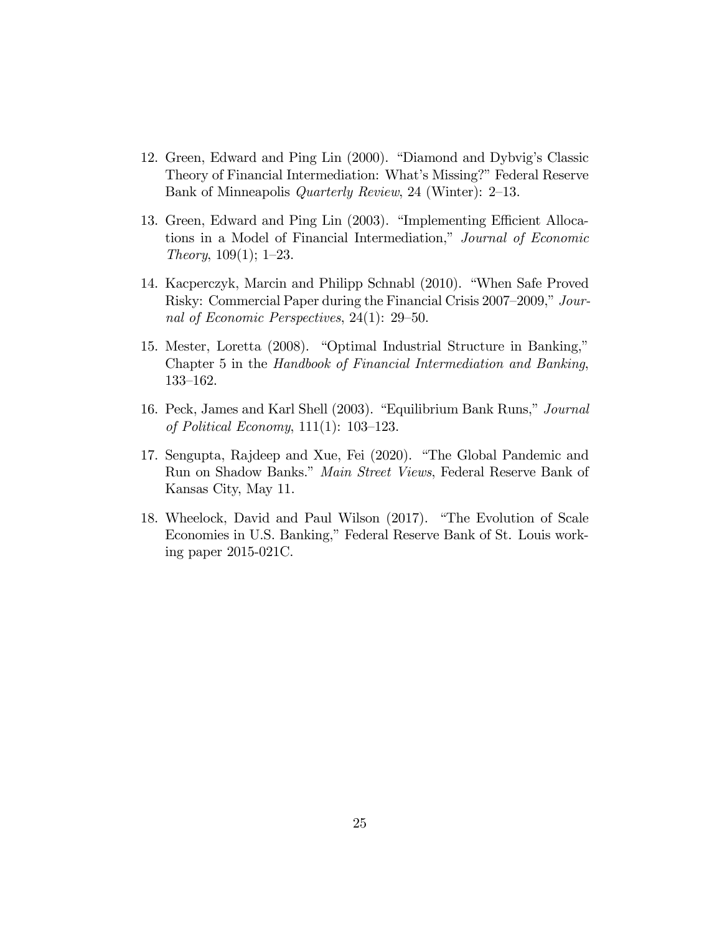- 12. Green, Edward and Ping Lin (2000). "Diamond and Dybvig's Classic Theory of Financial Intermediation: What's Missing?" Federal Reserve Bank of Minneapolis *Quarterly Review*, 24 (Winter):  $2-13$ .
- 13. Green, Edward and Ping Lin (2003). "Implementing Efficient Allocations in a Model of Financial Intermediation," Journal of Economic Theory,  $109(1)$ ; 1-23.
- 14. Kacperczyk, Marcin and Philipp Schnabl (2010). "When Safe Proved Risky: Commercial Paper during the Financial Crisis 2007–2009," Journal of Economic Perspectives,  $24(1)$ :  $29-50$ .
- 15. Mester, Loretta (2008). "Optimal Industrial Structure in Banking," Chapter 5 in the Handbook of Financial Intermediation and Banking, 133-162.
- 16. Peck, James and Karl Shell (2003). "Equilibrium Bank Runs," Journal of Political Economy,  $111(1)$ : 103-123.
- 17. Sengupta, Rajdeep and Xue, Fei (2020). "The Global Pandemic and Run on Shadow Banks." Main Street Views, Federal Reserve Bank of Kansas City, May 11.
- 18. Wheelock, David and Paul Wilson (2017). "The Evolution of Scale Economies in U.S. Banking," Federal Reserve Bank of St. Louis working paper 2015-021C.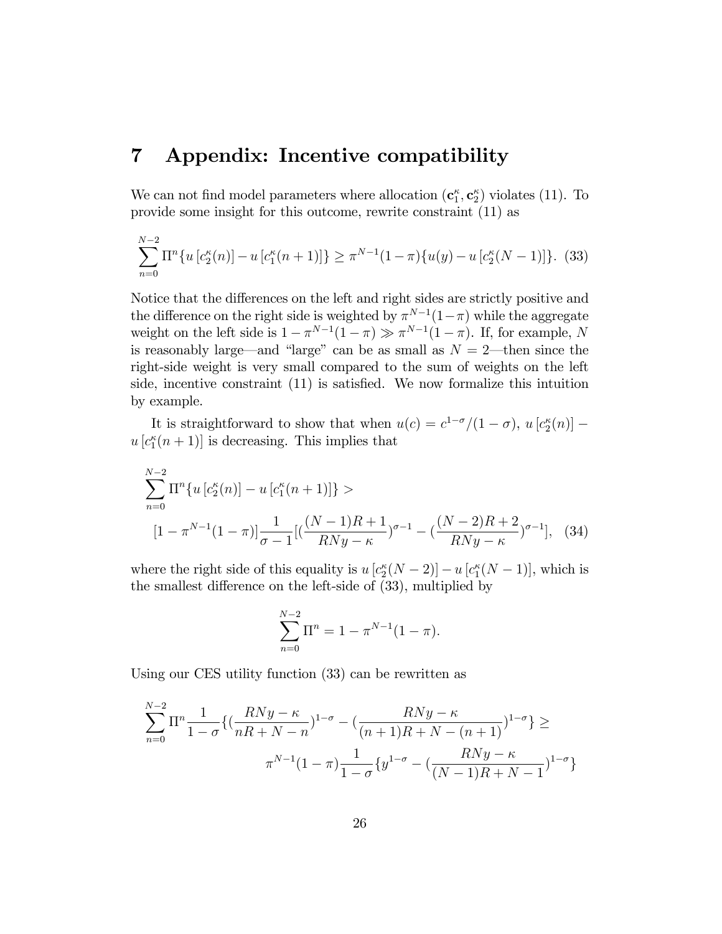### 7 Appendix: Incentive compatibility

We can not find model parameters where allocation  $(c_1^{\kappa}, c_2^{\kappa})$  violates (11). To provide some insight for this outcome, rewrite constraint (11) as

$$
\sum_{n=0}^{N-2} \Pi^n \{ u \left[ c_2^{\kappa}(n) \right] - u \left[ c_1^{\kappa}(n+1) \right] \} \ge \pi^{N-1} (1-\pi) \{ u(y) - u \left[ c_2^{\kappa}(N-1) \right] \}.
$$
 (33)

Notice that the differences on the left and right sides are strictly positive and the difference on the right side is weighted by  $\pi^{N-1}(1-\pi)$  while the aggregate weight on the left side is  $1 - \pi^{N-1}(1 - \pi) \gg \pi^{N-1}(1 - \pi)$ . If, for example, N is reasonably large—and "large" can be as small as  $N = 2$ —then since the right-side weight is very small compared to the sum of weights on the left side, incentive constraint  $(11)$  is satisfied. We now formalize this intuition by example.

It is straightforward to show that when  $u(c) = c^{1-\sigma}/(1-\sigma)$ ,  $u[c_2^{\kappa}(n)]$  –  $u[c_1^{\kappa}(n+1)]$  is decreasing. This implies that

$$
\sum_{n=0}^{N-2} \Pi^n \{ u \left[ c_2^{\kappa}(n) \right] - u \left[ c_1^{\kappa}(n+1) \right] \} >
$$
  
\n
$$
\left[ 1 - \pi^{N-1} (1-\pi) \right] \frac{1}{\sigma - 1} \left[ \left( \frac{(N-1)R + 1}{RNy - \kappa} \right)^{\sigma - 1} - \left( \frac{(N-2)R + 2}{RNy - \kappa} \right)^{\sigma - 1} \right], \quad (34)
$$

where the right side of this equality is  $u[c_2^{\kappa}(N-2)] - u[c_1^{\kappa}(N-1)]$ , which is the smallest difference on the left-side of  $(33)$ , multiplied by

$$
\sum_{n=0}^{N-2} \Pi^n = 1 - \pi^{N-1} (1 - \pi).
$$

Using our CES utility function (33) can be rewritten as

$$
\sum_{n=0}^{N-2} \Pi^n \frac{1}{1-\sigma} \{ \left( \frac{RNy - \kappa}{nR + N - n} \right)^{1-\sigma} - \left( \frac{RNy - \kappa}{(n+1)R + N - (n+1)} \right)^{1-\sigma} \} \ge
$$
  

$$
\pi^{N-1} (1-\pi) \frac{1}{1-\sigma} \{ y^{1-\sigma} - \left( \frac{RNy - \kappa}{(N-1)R + N - 1} \right)^{1-\sigma} \}
$$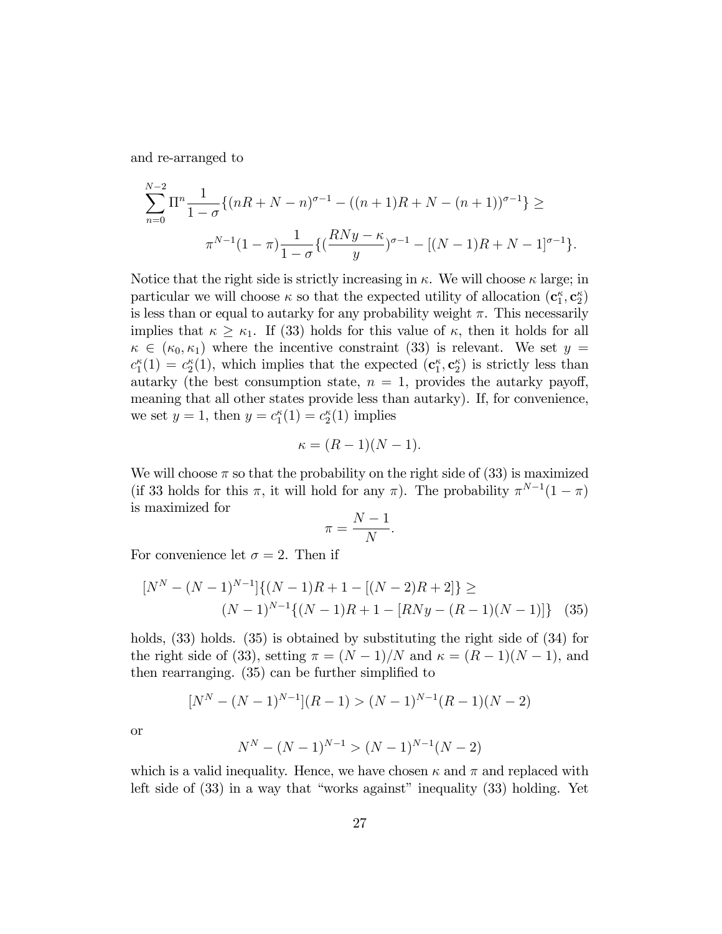and re-arranged to

$$
\sum_{n=0}^{N-2} \Pi^n \frac{1}{1-\sigma} \{ (nR+N-n)^{\sigma-1} - ((n+1)R+N-(n+1))^{\sigma-1} \} \ge
$$
  

$$
\pi^{N-1} (1-\pi) \frac{1}{1-\sigma} \{ (\frac{RNy-\kappa}{y})^{\sigma-1} - [(N-1)R+N-1]^{\sigma-1} \}.
$$

Notice that the right side is strictly increasing in  $\kappa$ . We will choose  $\kappa$  large; in particular we will choose  $\kappa$  so that the expected utility of allocation  $(c_1^{\kappa}, c_2^{\kappa})$ is less than or equal to autarky for any probability weight  $\pi$ . This necessarily implies that  $\kappa \geq \kappa_1$ . If (33) holds for this value of  $\kappa$ , then it holds for all  $\kappa \in (\kappa_0, \kappa_1)$  where the incentive constraint (33) is relevant. We set  $y =$  $c_1^{\kappa}(1) = c_2^{\kappa}(1)$ , which implies that the expected  $(c_1^{\kappa}, c_2^{\kappa})$  is strictly less than autarky (the best consumption state,  $n = 1$ , provides the autarky payoff, meaning that all other states provide less than autarky). If, for convenience, we set  $y = 1$ , then  $y = c_1^{\kappa}(1) = c_2^{\kappa}(1)$  implies

$$
\kappa = (R-1)(N-1).
$$

We will choose  $\pi$  so that the probability on the right side of (33) is maximized (if 33 holds for this  $\pi$ , it will hold for any  $\pi$ ). The probability  $\pi^{N-1}(1-\pi)$ is maximized for

$$
\pi = \frac{N-1}{N}.
$$

For convenience let  $\sigma = 2$ . Then if

$$
[NN - (N-1)N-1]\{(N-1)R + 1 - [(N-2)R + 2]\} \ge
$$
  

$$
(N-1)N-1\{(N-1)R + 1 - [RNy - (R-1)(N-1)]\}
$$
 (35)

holds,  $(33)$  holds.  $(35)$  is obtained by substituting the right side of  $(34)$  for the right side of (33), setting  $\pi = (N-1)/N$  and  $\kappa = (R-1)(N-1)$ , and then rearranging.  $(35)$  can be further simplified to

$$
[N^N - (N-1)^{N-1}](R-1) > (N-1)^{N-1}(R-1)(N-2)
$$

or

$$
N^N - (N-1)^{N-1} > (N-1)^{N-1}(N-2)
$$

which is a valid inequality. Hence, we have chosen  $\kappa$  and  $\pi$  and replaced with left side of  $(33)$  in a way that "works against" inequality  $(33)$  holding. Yet